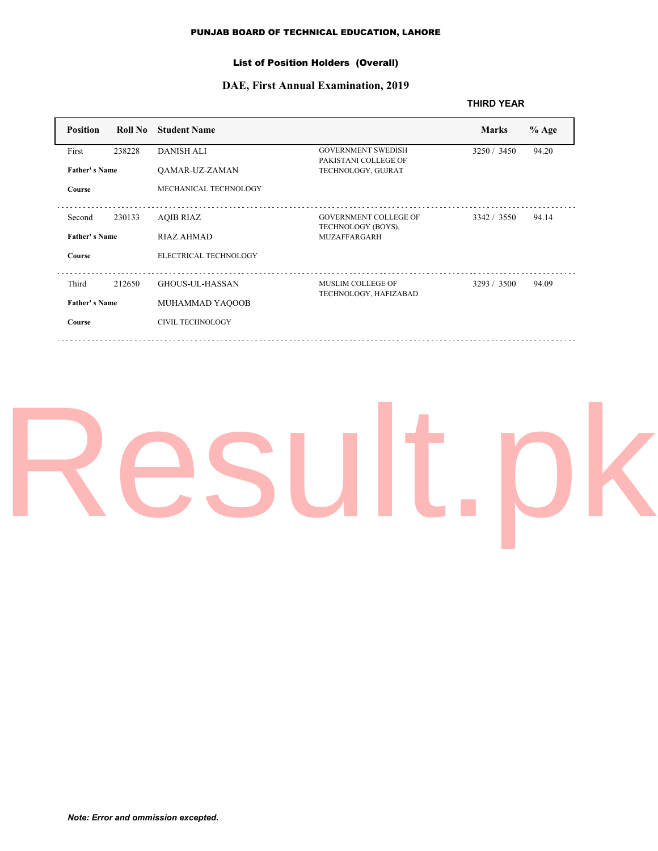### List of Position Holders (Overall)

### **DAE, First Annual Examination, 2019**

**THIRD YEAR**

| <b>Position</b>      | Roll No | <b>Student Name</b>     |                                                   | <b>Marks</b> | $%$ Age |
|----------------------|---------|-------------------------|---------------------------------------------------|--------------|---------|
| First                | 238228  | <b>DANISH ALI</b>       | <b>GOVERNMENT SWEDISH</b><br>PAKISTANI COLLEGE OF | 3250 / 3450  | 94.20   |
| <b>Father's Name</b> |         | <b>OAMAR-UZ-ZAMAN</b>   | TECHNOLOGY, GUJRAT                                |              |         |
| Course               |         | MECHANICAL TECHNOLOGY   |                                                   |              |         |
| Second               | 230133  | <b>AOIB RIAZ</b>        | <b>GOVERNMENT COLLEGE OF</b>                      | 3342 / 3550  | 94.14   |
| <b>Father's Name</b> |         | RIAZ AHMAD              | TECHNOLOGY (BOYS),<br><b>MUZAFFARGARH</b>         |              |         |
| Course               |         | ELECTRICAL TECHNOLOGY   |                                                   |              |         |
| Third                | 212650  | <b>GHOUS-UL-HASSAN</b>  | <b>MUSLIM COLLEGE OF</b>                          | 3293 / 3500  | 94.09   |
| <b>Father's Name</b> |         | MUHAMMAD YAQOOB         | TECHNOLOGY, HAFIZABAD                             |              |         |
| Course               |         | <b>CIVIL TECHNOLOGY</b> |                                                   |              |         |
|                      |         |                         |                                                   |              |         |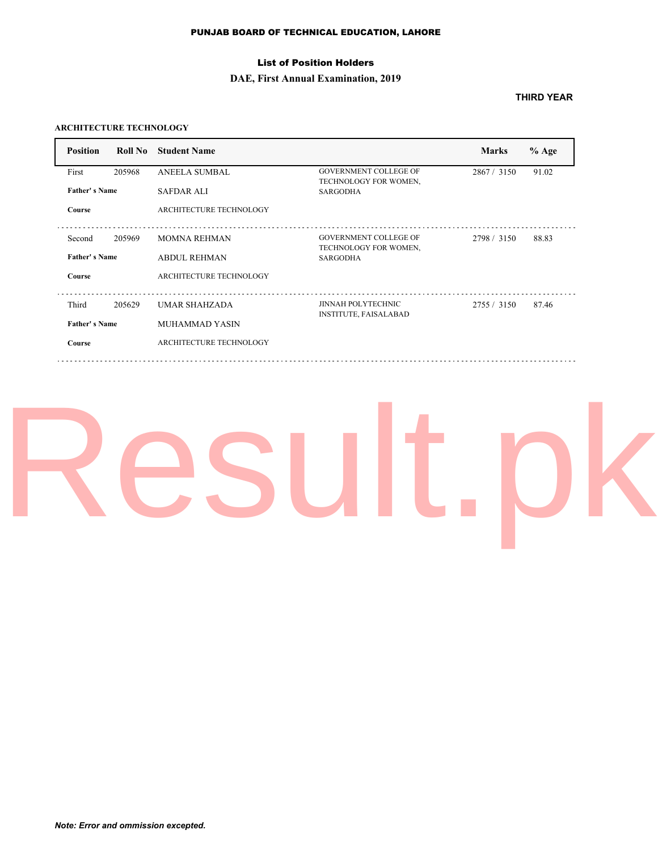### List of Position Holders

### **DAE, First Annual Examination, 2019**

### **THIRD YEAR**

### **ARCHITECTURE TECHNOLOGY**

| <b>Student Name</b>            |                                                       | <b>Marks</b>                                          | $%$ Age |
|--------------------------------|-------------------------------------------------------|-------------------------------------------------------|---------|
| <b>ANEELA SUMBAL</b>           | <b>GOVERNMENT COLLEGE OF</b><br>TECHNOLOGY FOR WOMEN, | 2867/3150                                             | 91.02   |
| SAFDAR ALI                     | <b>SARGODHA</b>                                       |                                                       |         |
| ARCHITECTURE TECHNOLOGY        |                                                       |                                                       |         |
| <b>MOMNA REHMAN</b>            | <b>GOVERNMENT COLLEGE OF</b>                          | 2798 / 3150                                           | 88.83   |
| <b>ABDUL REHMAN</b>            | <b>SARGODHA</b>                                       |                                                       |         |
| ARCHITECTURE TECHNOLOGY        |                                                       |                                                       |         |
| UMAR SHAHZADA                  | <b>JINNAH POLYTECHNIC</b>                             | 2755 / 3150                                           | 87.46   |
| MUHAMMAD YASIN                 |                                                       |                                                       |         |
| <b>ARCHITECTURE TECHNOLOGY</b> |                                                       |                                                       |         |
|                                |                                                       | TECHNOLOGY FOR WOMEN,<br><b>INSTITUTE, FAISALABAD</b> |         |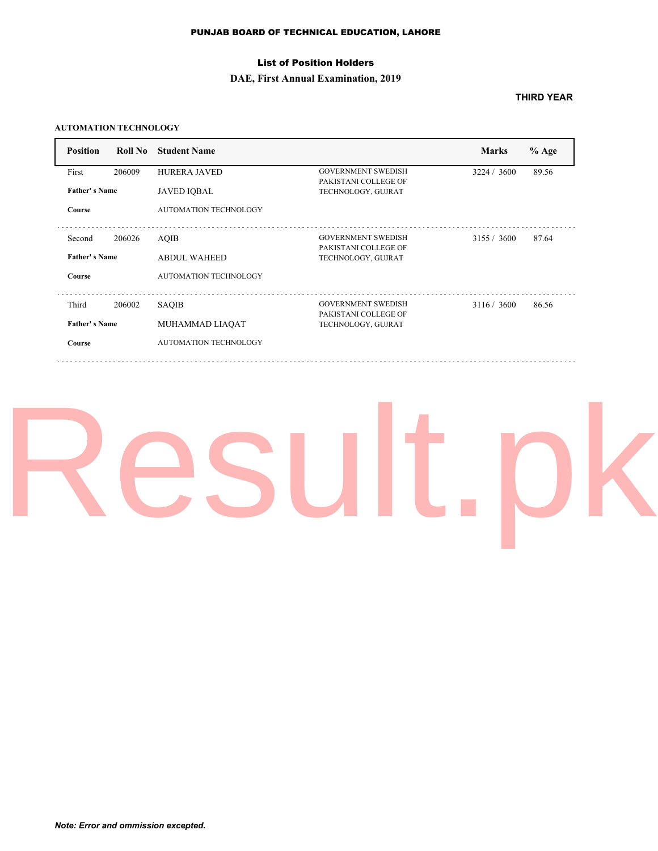### List of Position Holders

### **DAE, First Annual Examination, 2019**

### **THIRD YEAR**

### **AUTOMATION TECHNOLOGY**

| <b>Position</b>      | Roll No | <b>Student Name</b>          |                                                   | <b>Marks</b> | $%$ Age |
|----------------------|---------|------------------------------|---------------------------------------------------|--------------|---------|
| First                | 206009  | <b>HURERA JAVED</b>          | <b>GOVERNMENT SWEDISH</b><br>PAKISTANI COLLEGE OF | 3224 / 3600  | 89.56   |
| <b>Father's Name</b> |         | <b>JAVED IOBAL</b>           | TECHNOLOGY, GUJRAT                                |              |         |
| Course               |         | <b>AUTOMATION TECHNOLOGY</b> |                                                   |              |         |
| Second               | 206026  | <b>AQIB</b>                  | <b>GOVERNMENT SWEDISH</b>                         | 3155 / 3600  | 87.64   |
| <b>Father's Name</b> |         | <b>ABDUL WAHEED</b>          | PAKISTANI COLLEGE OF<br>TECHNOLOGY, GUJRAT        |              |         |
| Course               |         | <b>AUTOMATION TECHNOLOGY</b> |                                                   |              |         |
| Third                | 206002  | <b>SAQIB</b>                 | <b>GOVERNMENT SWEDISH</b>                         | 3116 / 3600  | 86.56   |
| <b>Father's Name</b> |         | MUHAMMAD LIAQAT              | PAKISTANI COLLEGE OF<br>TECHNOLOGY, GUJRAT        |              |         |
| Course               |         | <b>AUTOMATION TECHNOLOGY</b> |                                                   |              |         |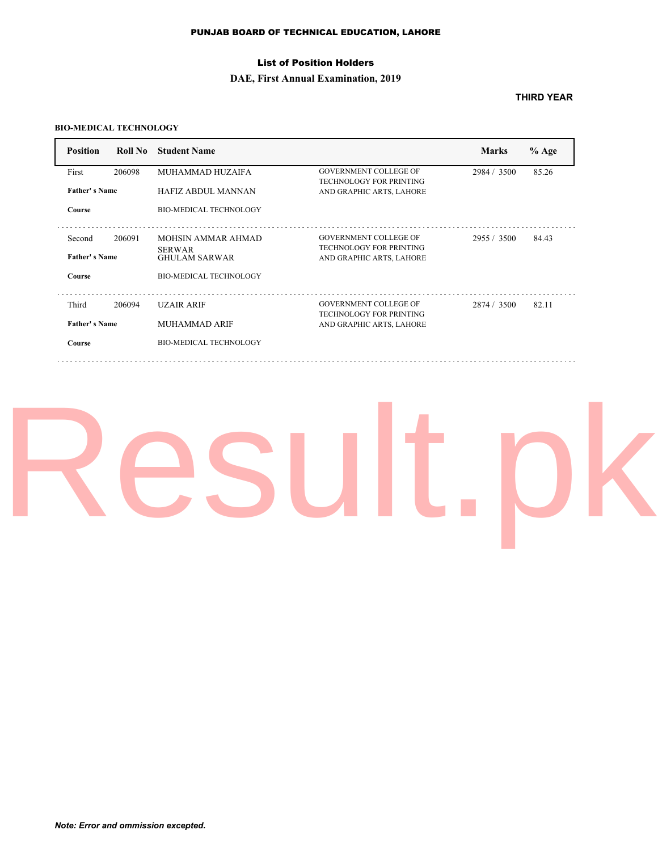### List of Position Holders

### **DAE, First Annual Examination, 2019**

### **THIRD YEAR**

### **BIO-MEDICAL TECHNOLOGY**

| <b>Position</b>      | Roll No | <b>Student Name</b>                 |                                                                | <b>Marks</b> | $%$ Age |
|----------------------|---------|-------------------------------------|----------------------------------------------------------------|--------------|---------|
| First                | 206098  | <b>MUHAMMAD HUZAIFA</b>             | <b>GOVERNMENT COLLEGE OF</b><br><b>TECHNOLOGY FOR PRINTING</b> | 2984 / 3500  | 85.26   |
| <b>Father's Name</b> |         | <b>HAFIZ ABDUL MANNAN</b>           | AND GRAPHIC ARTS, LAHORE                                       |              |         |
| Course               |         | BIO-MEDICAL TECHNOLOGY              |                                                                |              |         |
| Second               | 206091  | MOHSIN AMMAR AHMAD<br><b>SERWAR</b> | <b>GOVERNMENT COLLEGE OF</b><br><b>TECHNOLOGY FOR PRINTING</b> | 2955 / 3500  | 84.43   |
| <b>Father's Name</b> |         | <b>GHULAM SARWAR</b>                | AND GRAPHIC ARTS, LAHORE                                       |              |         |
| Course               |         | <b>BIO-MEDICAL TECHNOLOGY</b>       |                                                                |              |         |
| Third                | 206094  | <b>UZAIR ARIF</b>                   | <b>GOVERNMENT COLLEGE OF</b>                                   | 2874 / 3500  | 82.11   |
| <b>Father's Name</b> |         | <b>MUHAMMAD ARIF</b>                | <b>TECHNOLOGY FOR PRINTING</b><br>AND GRAPHIC ARTS, LAHORE     |              |         |
| Course               |         | <b>BIO-MEDICAL TECHNOLOGY</b>       |                                                                |              |         |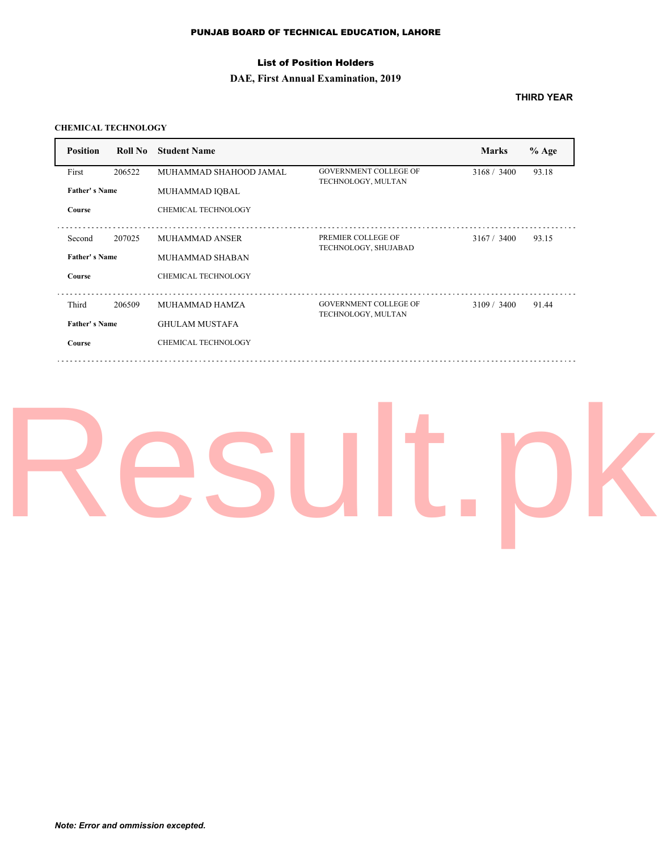### List of Position Holders

### **DAE, First Annual Examination, 2019**

### **THIRD YEAR**

### **CHEMICAL TECHNOLOGY**

| <b>Position</b>      | Roll No | <b>Student Name</b>        |                                                    | <b>Marks</b> | $%$ Age |
|----------------------|---------|----------------------------|----------------------------------------------------|--------------|---------|
| First                | 206522  | MUHAMMAD SHAHOOD JAMAL     | <b>GOVERNMENT COLLEGE OF</b><br>TECHNOLOGY, MULTAN | 3168 / 3400  | 93.18   |
| <b>Father's Name</b> |         | MUHAMMAD IQBAL             |                                                    |              |         |
| Course               |         | <b>CHEMICAL TECHNOLOGY</b> |                                                    |              |         |
| Second               | 207025  | <b>MUHAMMAD ANSER</b>      | PREMIER COLLEGE OF<br>TECHNOLOGY, SHUJABAD         | 3167 / 3400  | 93.15   |
| <b>Father's Name</b> |         | MUHAMMAD SHABAN            |                                                    |              |         |
| Course               |         | <b>CHEMICAL TECHNOLOGY</b> |                                                    |              |         |
| Third                | 206509  | MUHAMMAD HAMZA             | <b>GOVERNMENT COLLEGE OF</b><br>TECHNOLOGY, MULTAN | 3109/3400    | 91.44   |
| <b>Father's Name</b> |         | <b>GHULAM MUSTAFA</b>      |                                                    |              |         |
| Course               |         | <b>CHEMICAL TECHNOLOGY</b> |                                                    |              |         |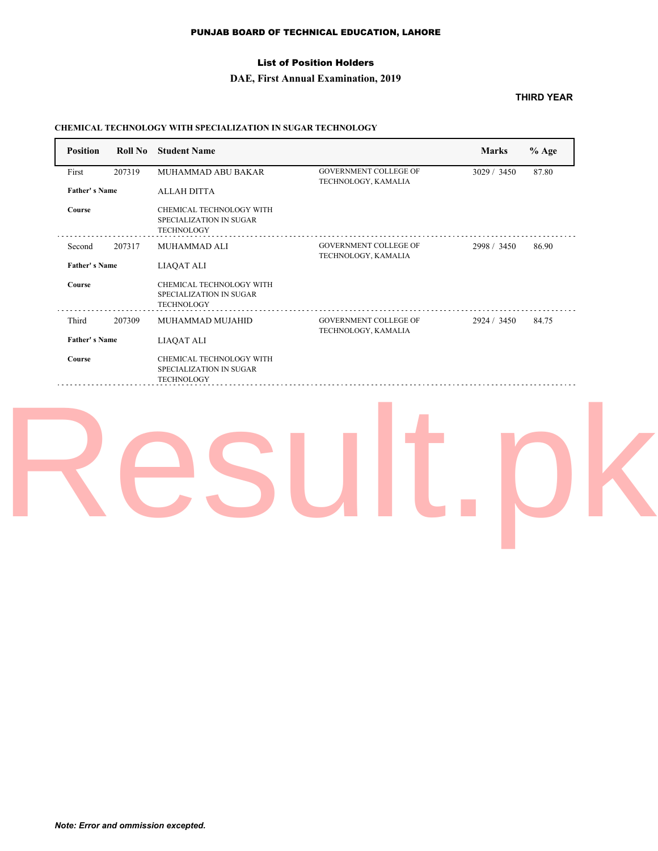### List of Position Holders

### **DAE, First Annual Examination, 2019**

### **THIRD YEAR**

### **CHEMICAL TECHNOLOGY WITH SPECIALIZATION IN SUGAR TECHNOLOGY**

| <b>Position</b>      | Roll No | <b>Student Name</b>                                                      |                                                     | <b>Marks</b> | $%$ Age |
|----------------------|---------|--------------------------------------------------------------------------|-----------------------------------------------------|--------------|---------|
| First                | 207319  | MUHAMMAD ABU BAKAR                                                       | <b>GOVERNMENT COLLEGE OF</b><br>TECHNOLOGY, KAMALIA | 3029 / 3450  | 87.80   |
| <b>Father's Name</b> |         | ALLAH DITTA                                                              |                                                     |              |         |
| Course               |         | <b>CHEMICAL TECHNOLOGY WITH</b>                                          |                                                     |              |         |
|                      |         | SPECIALIZATION IN SUGAR<br><b>TECHNOLOGY</b>                             |                                                     |              |         |
| Second               | 207317  | MUHAMMAD ALI                                                             | <b>GOVERNMENT COLLEGE OF</b><br>TECHNOLOGY, KAMALIA | 2998 / 3450  | 86.90   |
| <b>Father's Name</b> |         | <b>LIAQAT ALI</b>                                                        |                                                     |              |         |
| Course               |         | CHEMICAL TECHNOLOGY WITH<br>SPECIALIZATION IN SUGAR<br><b>TECHNOLOGY</b> |                                                     |              |         |
| Third                | 207309  | MUHAMMAD MUJAHID                                                         | <b>GOVERNMENT COLLEGE OF</b><br>TECHNOLOGY, KAMALIA | 2924 / 3450  | 84.75   |
| <b>Father's Name</b> |         | <b>LIAQAT ALI</b>                                                        |                                                     |              |         |
| Course               |         | CHEMICAL TECHNOLOGY WITH                                                 |                                                     |              |         |
|                      |         | SPECIALIZATION IN SUGAR                                                  |                                                     |              |         |
|                      |         | <b>TECHNOLOGY</b>                                                        |                                                     |              |         |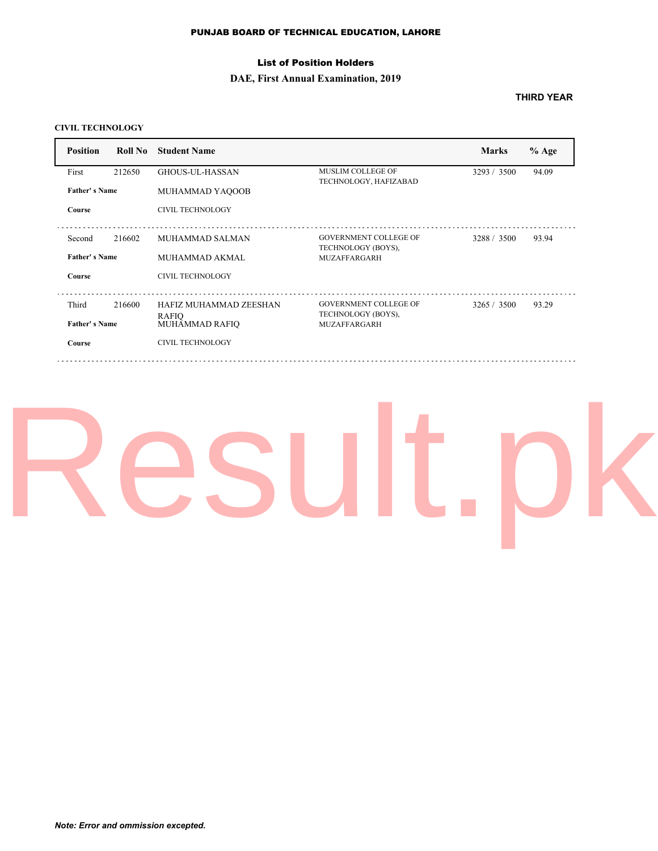### List of Position Holders

### **DAE, First Annual Examination, 2019**

### **THIRD YEAR**

### **CIVIL TECHNOLOGY**

| <b>Position</b>      | Roll No | <b>Student Name</b>            |                                                    | <b>Marks</b> | $%$ Age |
|----------------------|---------|--------------------------------|----------------------------------------------------|--------------|---------|
| First                | 212650  | <b>GHOUS-UL-HASSAN</b>         | MUSLIM COLLEGE OF<br>TECHNOLOGY, HAFIZABAD         | 3293 / 3500  | 94.09   |
| <b>Father's Name</b> |         | MUHAMMAD YAQOOB                |                                                    |              |         |
| Course               |         | <b>CIVIL TECHNOLOGY</b>        |                                                    |              |         |
| Second               | 216602  | MUHAMMAD SALMAN                | <b>GOVERNMENT COLLEGE OF</b><br>TECHNOLOGY (BOYS), | 3288 / 3500  | 93.94   |
| <b>Father's Name</b> |         | MUHAMMAD AKMAL                 | <b>MUZAFFARGARH</b>                                |              |         |
| Course               |         | <b>CIVIL TECHNOLOGY</b>        |                                                    |              |         |
| Third                | 216600  | HAFIZ MUHAMMAD ZEESHAN         | <b>GOVERNMENT COLLEGE OF</b><br>TECHNOLOGY (BOYS), | 3265 / 3500  | 93.29   |
| <b>Father's Name</b> |         | RAFIO<br><b>MUHAMMAD RAFIO</b> | <b>MUZAFFARGARH</b>                                |              |         |
| Course               |         | <b>CIVIL TECHNOLOGY</b>        |                                                    |              |         |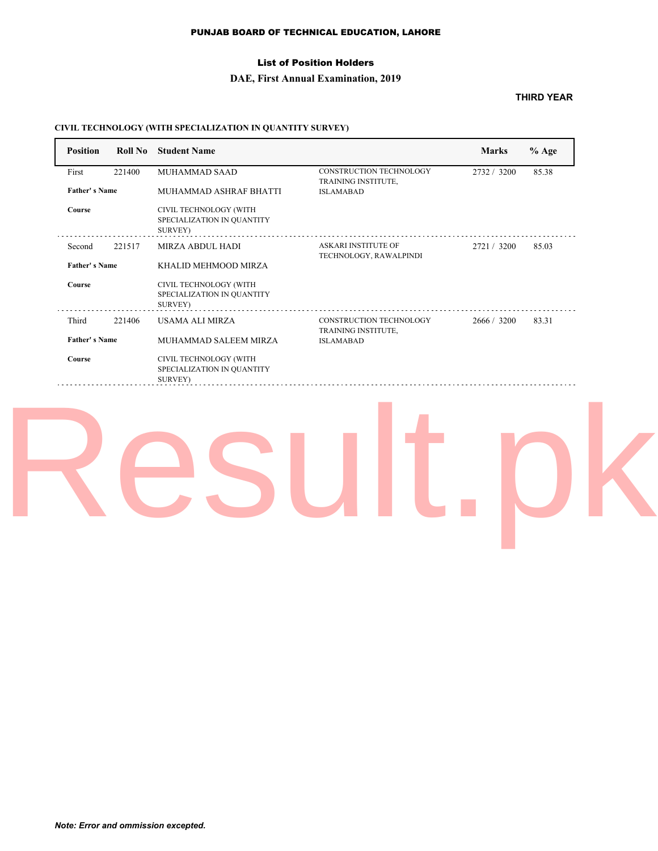### List of Position Holders

### **DAE, First Annual Examination, 2019**

### **THIRD YEAR**

### **CIVIL TECHNOLOGY (WITH SPECIALIZATION IN QUANTITY SURVEY)**

| <b>Position</b>      | Roll No | <b>Student Name</b>                                                    |                                                       | <b>Marks</b> | $%$ Age |
|----------------------|---------|------------------------------------------------------------------------|-------------------------------------------------------|--------------|---------|
| First                | 221400  | MUHAMMAD SAAD                                                          | CONSTRUCTION TECHNOLOGY<br>TRAINING INSTITUTE,        | 2732 / 3200  | 85.38   |
| <b>Father's Name</b> |         | MUHAMMAD ASHRAF BHATTI                                                 | <b>ISLAMABAD</b>                                      |              |         |
| <b>Course</b>        |         | CIVIL TECHNOLOGY (WITH<br>SPECIALIZATION IN OUANTITY<br>SURVEY)        |                                                       |              |         |
| Second               | 221517  | MIRZA ABDUL HADI                                                       | <b>ASKARI INSTITUTE OF</b><br>TECHNOLOGY, RAWALPINDI  | 2721 / 3200  | 85.03   |
| <b>Father's Name</b> |         | KHALID MEHMOOD MIRZA                                                   |                                                       |              |         |
| Course<br>.          |         | CIVIL TECHNOLOGY (WITH<br>SPECIALIZATION IN QUANTITY<br>SURVEY)        |                                                       |              |         |
| Third                | 221406  | <b>USAMA ALI MIRZA</b>                                                 | <b>CONSTRUCTION TECHNOLOGY</b><br>TRAINING INSTITUTE, | 2666 / 3200  | 83.31   |
| <b>Father's Name</b> |         | MUHAMMAD SALEEM MIRZA                                                  | <b>ISLAMABAD</b>                                      |              |         |
| <b>Course</b>        |         | CIVIL TECHNOLOGY (WITH<br>SPECIALIZATION IN QUANTITY<br><b>SURVEY)</b> |                                                       |              |         |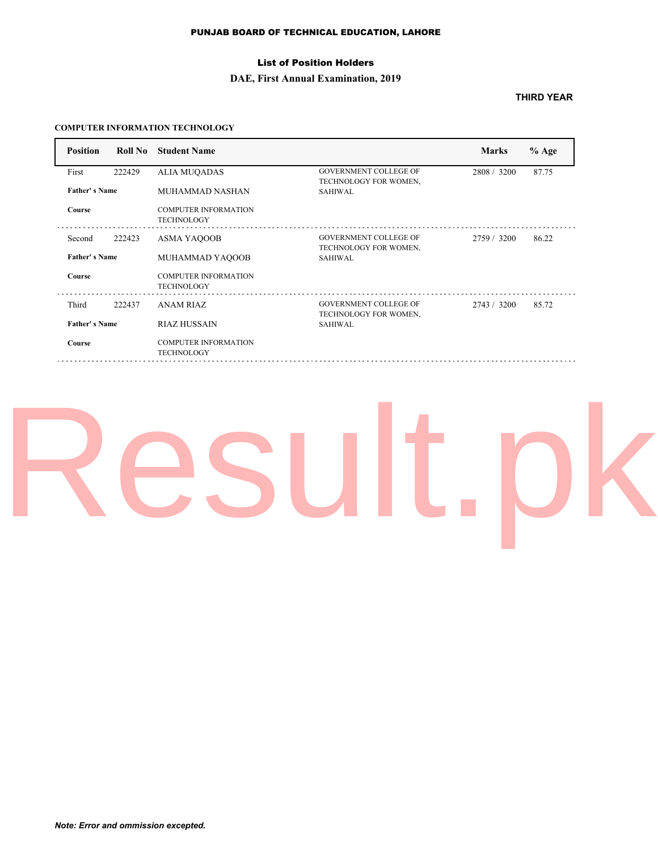### List of Position Holders

### **DAE, First Annual Examination, 2019**

### **THIRD YEAR**

### **COMPUTER INFORMATION TECHNOLOGY**

| <b>Position</b>      | Roll No | <b>Student Name</b>                              |                                                       | <b>Marks</b> | $%$ Age |
|----------------------|---------|--------------------------------------------------|-------------------------------------------------------|--------------|---------|
| First                | 222429  | <b>ALIA MUQADAS</b>                              | <b>GOVERNMENT COLLEGE OF</b><br>TECHNOLOGY FOR WOMEN, | 2808 / 3200  | 87.75   |
| <b>Father's Name</b> |         | MUHAMMAD NASHAN                                  | <b>SAHIWAL</b>                                        |              |         |
| Course               |         | <b>COMPUTER INFORMATION</b><br><b>TECHNOLOGY</b> |                                                       |              |         |
| Second               | 222423  | ASMA YAQOOB                                      | <b>GOVERNMENT COLLEGE OF</b><br>TECHNOLOGY FOR WOMEN, | 2759 / 3200  | 86.22   |
| <b>Father's Name</b> |         | MUHAMMAD YAQOOB                                  | <b>SAHIWAL</b>                                        |              |         |
| <b>Course</b>        |         | <b>COMPUTER INFORMATION</b><br><b>TECHNOLOGY</b> |                                                       |              |         |
| Third                | 222437  | <b>ANAM RIAZ</b>                                 | <b>GOVERNMENT COLLEGE OF</b><br>TECHNOLOGY FOR WOMEN, | 2743 / 3200  | 85.72   |
| <b>Father's Name</b> |         | <b>RIAZ HUSSAIN</b>                              | <b>SAHIWAL</b>                                        |              |         |
| <b>Course</b>        |         | <b>COMPUTER INFORMATION</b><br><b>TECHNOLOGY</b> |                                                       |              |         |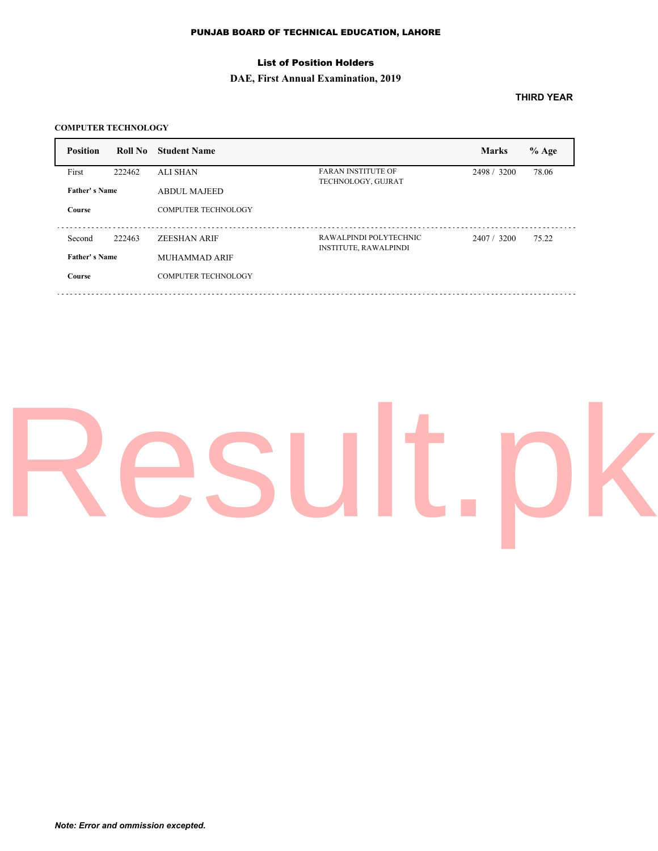### List of Position Holders

### **DAE, First Annual Examination, 2019**

### **THIRD YEAR**

### **COMPUTER TECHNOLOGY**

| <b>Position</b>      | Roll No | <b>Student Name</b>        |                              | <b>Marks</b> | $%$ Age |
|----------------------|---------|----------------------------|------------------------------|--------------|---------|
| First                | 222462  | <b>ALI SHAN</b>            | <b>FARAN INSTITUTE OF</b>    | 2498 / 3200  | 78.06   |
| <b>Father's Name</b> |         | <b>ABDUL MAJEED</b>        | TECHNOLOGY, GUJRAT           |              |         |
| Course               |         | <b>COMPUTER TECHNOLOGY</b> |                              |              |         |
| Second               | 222463  | <b>ZEESHAN ARIF</b>        | RAWALPINDI POLYTECHNIC       | 2407/3200    | 75.22   |
|                      |         |                            | <b>INSTITUTE, RAWALPINDI</b> |              |         |
| <b>Father's Name</b> |         | MUHAMMAD ARIF              |                              |              |         |
| <b>Course</b>        |         | <b>COMPUTER TECHNOLOGY</b> |                              |              |         |
|                      |         |                            |                              |              |         |

# Result.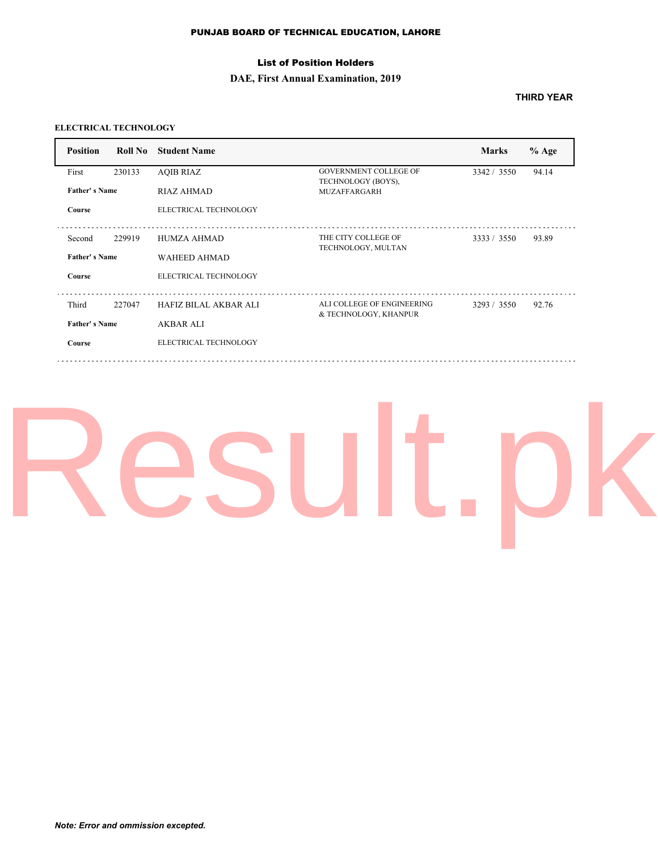### List of Position Holders

### **DAE, First Annual Examination, 2019**

### **THIRD YEAR**

### **ELECTRICAL TECHNOLOGY**

| <b>Position</b>      | Roll No | <b>Student Name</b>          |                                                     | <b>Marks</b> | $%$ Age |
|----------------------|---------|------------------------------|-----------------------------------------------------|--------------|---------|
| First                | 230133  | <b>AOIB RIAZ</b>             | <b>GOVERNMENT COLLEGE OF</b><br>TECHNOLOGY (BOYS),  | 3342 / 3550  | 94.14   |
| <b>Father's Name</b> |         | RIAZ AHMAD                   | <b>MUZAFFARGARH</b>                                 |              |         |
| <b>Course</b>        |         | ELECTRICAL TECHNOLOGY        |                                                     |              |         |
| Second               | 229919  | HUMZA AHMAD                  | THE CITY COLLEGE OF                                 | 3333 / 3550  | 93.89   |
| <b>Father's Name</b> |         | <b>WAHEED AHMAD</b>          | TECHNOLOGY, MULTAN                                  |              |         |
| Course               |         | ELECTRICAL TECHNOLOGY        |                                                     |              |         |
|                      |         |                              |                                                     |              |         |
| Third                | 227047  | <b>HAFIZ BILAL AKBAR ALI</b> | ALI COLLEGE OF ENGINEERING<br>& TECHNOLOGY, KHANPUR | 3293/3550    | 92.76   |
| <b>Father's Name</b> |         | AKBAR ALI                    |                                                     |              |         |
| Course               |         | ELECTRICAL TECHNOLOGY        |                                                     |              |         |
|                      |         |                              |                                                     |              |         |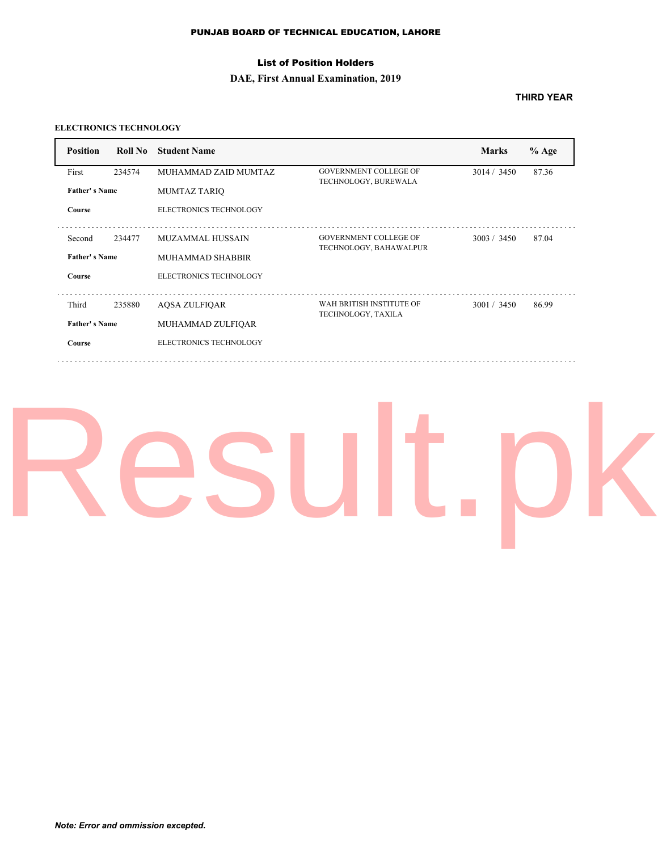### List of Position Holders

### **DAE, First Annual Examination, 2019**

### **THIRD YEAR**

### **ELECTRONICS TECHNOLOGY**

| <b>Position</b>      | Roll No | <b>Student Name</b>           |                                                        | <b>Marks</b> | $%$ Age |
|----------------------|---------|-------------------------------|--------------------------------------------------------|--------------|---------|
| First                | 234574  | MUHAMMAD ZAID MUMTAZ          | <b>GOVERNMENT COLLEGE OF</b><br>TECHNOLOGY, BUREWALA   | 3014 / 3450  | 87.36   |
| <b>Father's Name</b> |         | <b>MUMTAZ TARIO</b>           |                                                        |              |         |
| Course               |         | ELECTRONICS TECHNOLOGY        |                                                        |              |         |
| Second               | 234477  | <b>MUZAMMAL HUSSAIN</b>       | <b>GOVERNMENT COLLEGE OF</b><br>TECHNOLOGY, BAHAWALPUR | 3003 / 3450  | 87.04   |
| <b>Father's Name</b> |         | <b>MUHAMMAD SHABBIR</b>       |                                                        |              |         |
| Course               |         | ELECTRONICS TECHNOLOGY        |                                                        |              |         |
| Third                | 235880  | <b>AOSA ZULFIOAR</b>          | WAH BRITISH INSTITUTE OF<br>TECHNOLOGY, TAXILA         | 3001 / 3450  | 86.99   |
| <b>Father's Name</b> |         | MUHAMMAD ZULFIQAR             |                                                        |              |         |
| <b>Course</b>        |         | <b>ELECTRONICS TECHNOLOGY</b> |                                                        |              |         |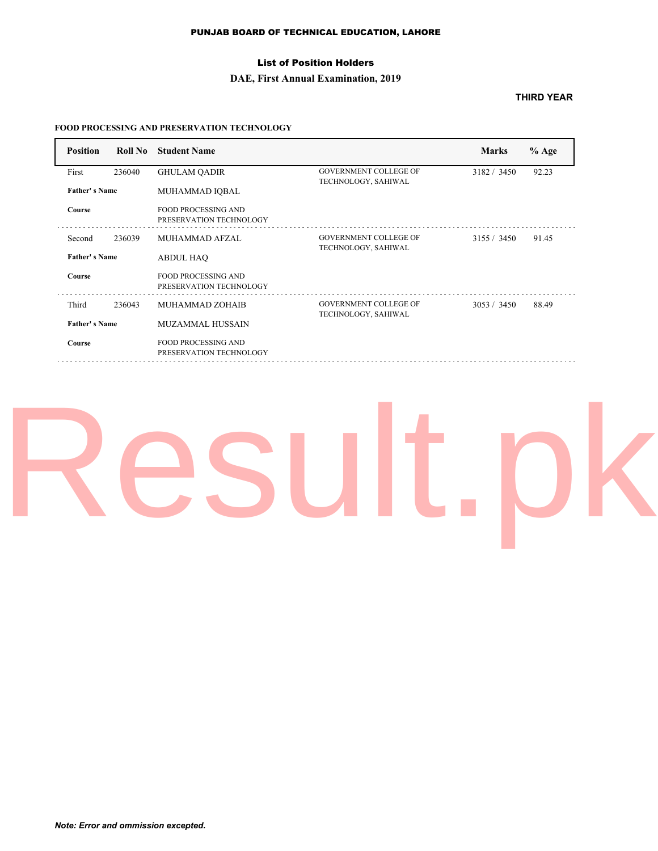### List of Position Holders

### **DAE, First Annual Examination, 2019**

### **THIRD YEAR**

### **FOOD PROCESSING AND PRESERVATION TECHNOLOGY**

| <b>Position</b>      | Roll No | <b>Student Name</b>                                   |                                                     | <b>Marks</b> | $%$ Age |
|----------------------|---------|-------------------------------------------------------|-----------------------------------------------------|--------------|---------|
| First                | 236040  | <b>GHULAM OADIR</b>                                   | <b>GOVERNMENT COLLEGE OF</b><br>TECHNOLOGY, SAHIWAL | 3182/3450    | 92.23   |
| <b>Father's Name</b> |         | MUHAMMAD IOBAL                                        |                                                     |              |         |
| Course               |         | <b>FOOD PROCESSING AND</b><br>PRESERVATION TECHNOLOGY |                                                     |              |         |
| Second               | 236039  | <b>MUHAMMAD AFZAL</b>                                 | <b>GOVERNMENT COLLEGE OF</b>                        | 3155 / 3450  | 91.45   |
| <b>Father's Name</b> |         | <b>ABDUL HAO</b>                                      | TECHNOLOGY, SAHIWAL                                 |              |         |
| Course               |         | <b>FOOD PROCESSING AND</b><br>PRESERVATION TECHNOLOGY |                                                     |              |         |
| Third                | 236043  | MUHAMMAD ZOHAIB                                       | <b>GOVERNMENT COLLEGE OF</b>                        | 3053 / 3450  | 88.49   |
| <b>Father's Name</b> |         | <b>MUZAMMAL HUSSAIN</b>                               | TECHNOLOGY, SAHIWAL                                 |              |         |
| Course               |         | <b>FOOD PROCESSING AND</b><br>PRESERVATION TECHNOLOGY |                                                     |              |         |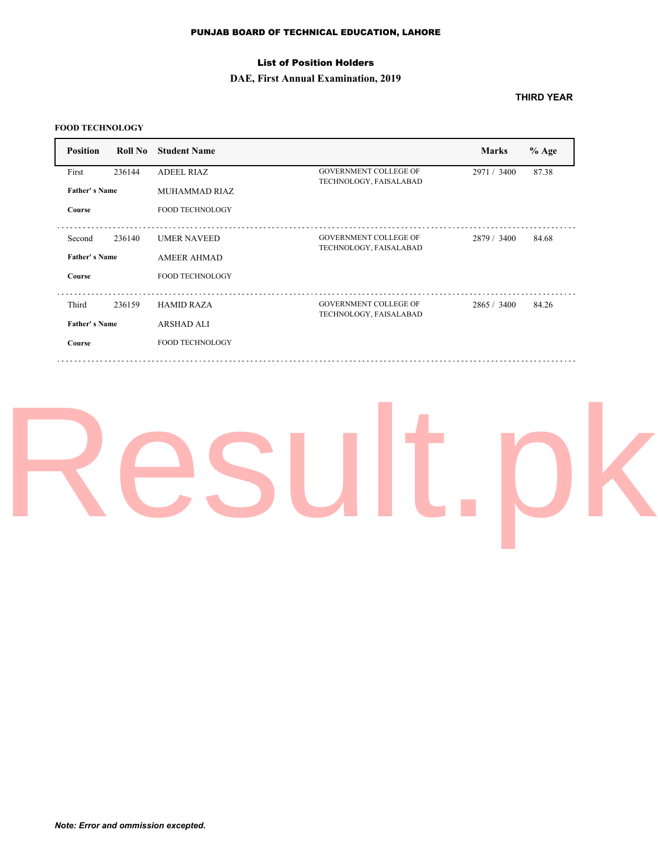### List of Position Holders

### **DAE, First Annual Examination, 2019**

### **THIRD YEAR**

### **FOOD TECHNOLOGY**

| <b>Position</b>      | Roll No | <b>Student Name</b>    |                                                        | <b>Marks</b> | $%$ Age |
|----------------------|---------|------------------------|--------------------------------------------------------|--------------|---------|
| First                | 236144  | <b>ADEEL RIAZ</b>      | <b>GOVERNMENT COLLEGE OF</b><br>TECHNOLOGY, FAISALABAD | 2971 / 3400  | 87.38   |
| <b>Father's Name</b> |         | MUHAMMAD RIAZ          |                                                        |              |         |
| Course               |         | <b>FOOD TECHNOLOGY</b> |                                                        |              |         |
| Second               | 236140  | <b>UMER NAVEED</b>     | <b>GOVERNMENT COLLEGE OF</b>                           | 2879 / 3400  | 84.68   |
| <b>Father's Name</b> |         | <b>AMEER AHMAD</b>     | TECHNOLOGY, FAISALABAD                                 |              |         |
| Course               |         | <b>FOOD TECHNOLOGY</b> |                                                        |              |         |
| Third                | 236159  | <b>HAMID RAZA</b>      | <b>GOVERNMENT COLLEGE OF</b>                           | 2865 / 3400  | 84.26   |
| <b>Father's Name</b> |         | <b>ARSHAD ALI</b>      | TECHNOLOGY, FAISALABAD                                 |              |         |
| Course               |         | <b>FOOD TECHNOLOGY</b> |                                                        |              |         |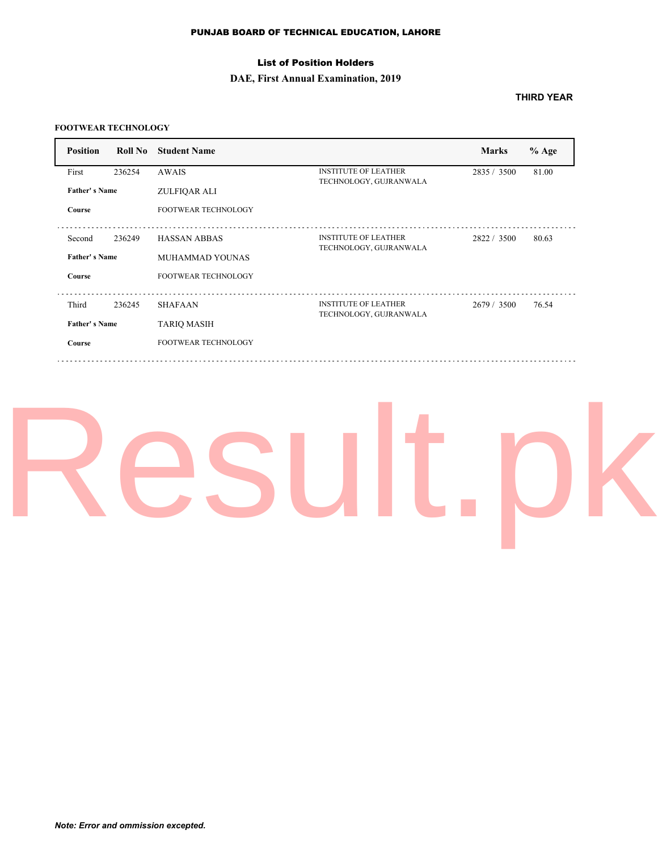### List of Position Holders

### **DAE, First Annual Examination, 2019**

### **THIRD YEAR**

### **FOOTWEAR TECHNOLOGY**

| <b>Position</b>      | Roll No | <b>Student Name</b>        |                                                       | <b>Marks</b> | $%$ Age |
|----------------------|---------|----------------------------|-------------------------------------------------------|--------------|---------|
| First                | 236254  | <b>AWAIS</b>               | <b>INSTITUTE OF LEATHER</b><br>TECHNOLOGY, GUJRANWALA | 2835 / 3500  | 81.00   |
| <b>Father's Name</b> |         | ZULFIQAR ALI               |                                                       |              |         |
| Course               |         | <b>FOOTWEAR TECHNOLOGY</b> |                                                       |              |         |
| Second               | 236249  | <b>HASSAN ABBAS</b>        | <b>INSTITUTE OF LEATHER</b>                           | 2822/3500    | 80.63   |
| <b>Father's Name</b> |         | MUHAMMAD YOUNAS            | TECHNOLOGY, GUJRANWALA                                |              |         |
| Course               |         | <b>FOOTWEAR TECHNOLOGY</b> |                                                       |              |         |
| Third                | 236245  | <b>SHAFAAN</b>             | <b>INSTITUTE OF LEATHER</b>                           | 2679 / 3500  | 76.54   |
| <b>Father's Name</b> |         | <b>TARIQ MASIH</b>         | TECHNOLOGY, GUJRANWALA                                |              |         |
| Course               |         | <b>FOOTWEAR TECHNOLOGY</b> |                                                       |              |         |
|                      |         |                            |                                                       |              |         |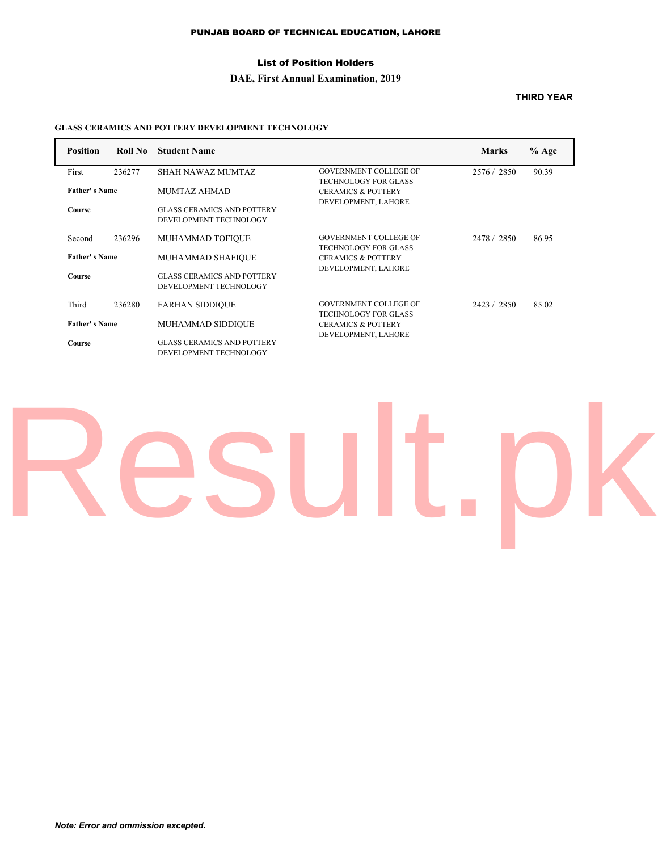### List of Position Holders

### **DAE, First Annual Examination, 2019**

### **THIRD YEAR**

### **GLASS CERAMICS AND POTTERY DEVELOPMENT TECHNOLOGY**

| <b>Position</b>      | Roll No | <b>Student Name</b>                                         |                                                                                     | <b>Marks</b> | $%$ Age |
|----------------------|---------|-------------------------------------------------------------|-------------------------------------------------------------------------------------|--------------|---------|
| First                | 236277  | <b>SHAH NAWAZ MUMTAZ</b>                                    | <b>GOVERNMENT COLLEGE OF</b>                                                        | 2576 / 2850  | 90.39   |
| <b>Father's Name</b> |         | MUMTAZ AHMAD                                                | <b>TECHNOLOGY FOR GLASS</b><br><b>CERAMICS &amp; POTTERY</b><br>DEVELOPMENT, LAHORE |              |         |
| Course               |         | <b>GLASS CERAMICS AND POTTERY</b><br>DEVELOPMENT TECHNOLOGY |                                                                                     |              |         |
| Second               | 236296  | MUHAMMAD TOFIQUE                                            | <b>GOVERNMENT COLLEGE OF</b><br><b>TECHNOLOGY FOR GLASS</b>                         | 2478 / 2850  | 86.95   |
| <b>Father's Name</b> |         | <b>MUHAMMAD SHAFIQUE</b>                                    | <b>CERAMICS &amp; POTTERY</b><br>DEVELOPMENT, LAHORE                                |              |         |
| Course               |         | <b>GLASS CERAMICS AND POTTERY</b><br>DEVELOPMENT TECHNOLOGY |                                                                                     |              |         |
| Third                | 236280  | <b>FARHAN SIDDIOUE</b>                                      | <b>GOVERNMENT COLLEGE OF</b><br><b>TECHNOLOGY FOR GLASS</b>                         | 2423 / 2850  | 85.02   |
| <b>Father's Name</b> |         | MUHAMMAD SIDDIQUE                                           | <b>CERAMICS &amp; POTTERY</b>                                                       |              |         |
| Course               |         | <b>GLASS CERAMICS AND POTTERY</b><br>DEVELOPMENT TECHNOLOGY | DEVELOPMENT, LAHORE                                                                 |              |         |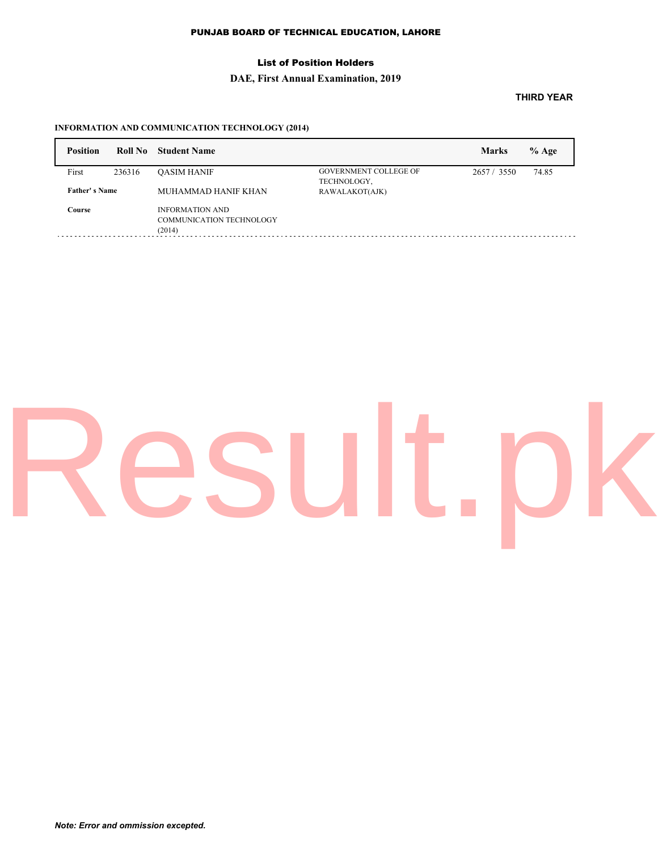### List of Position Holders

### **DAE, First Annual Examination, 2019**

### **THIRD YEAR**

### **INFORMATION AND COMMUNICATION TECHNOLOGY (2014)**

| <b>Position</b>      |        | <b>Roll No</b> Student Name     |                              | <b>Marks</b> | $%$ Age |
|----------------------|--------|---------------------------------|------------------------------|--------------|---------|
| First                | 236316 | <b>OASIM HANIF</b>              | <b>GOVERNMENT COLLEGE OF</b> | 2657 / 3550  | 74.85   |
|                      |        |                                 | TECHNOLOGY,                  |              |         |
| <b>Father's Name</b> |        | MUHAMMAD HANIF KHAN             | RAWALAKOT(AJK)               |              |         |
| Course               |        | <b>INFORMATION AND</b>          |                              |              |         |
|                      |        | <b>COMMUNICATION TECHNOLOGY</b> |                              |              |         |
|                      |        | (2014)                          |                              |              |         |
|                      |        |                                 |                              |              |         |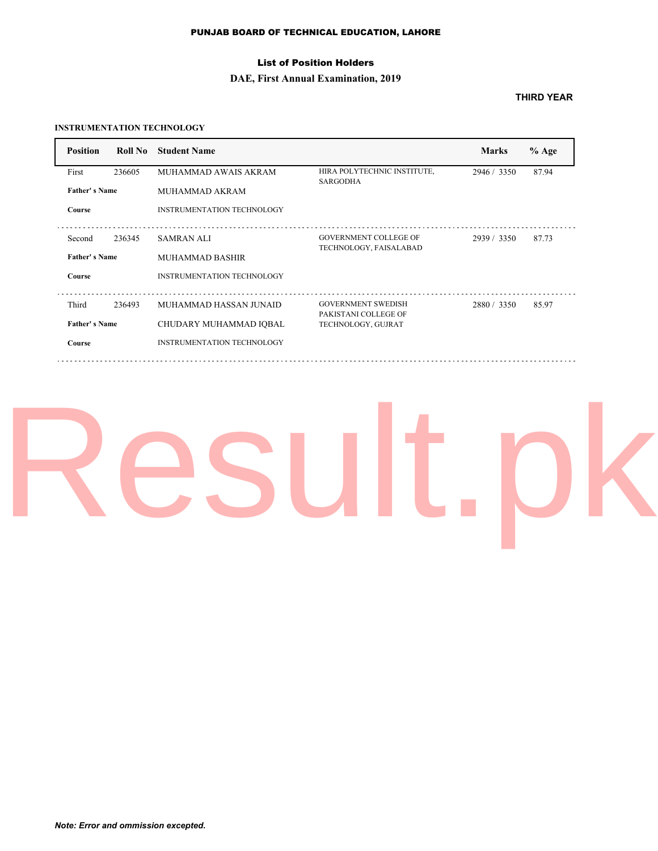### List of Position Holders

### **DAE, First Annual Examination, 2019**

### **THIRD YEAR**

### **INSTRUMENTATION TECHNOLOGY**

| <b>Position</b>      | Roll No | <b>Student Name</b>               |                                                | <b>Marks</b> | $%$ Age |
|----------------------|---------|-----------------------------------|------------------------------------------------|--------------|---------|
| First                | 236605  | MUHAMMAD AWAIS AKRAM              | HIRA POLYTECHNIC INSTITUTE,<br><b>SARGODHA</b> | 2946 / 3350  | 87.94   |
| <b>Father's Name</b> |         | MUHAMMAD AKRAM                    |                                                |              |         |
| Course               |         | <b>INSTRUMENTATION TECHNOLOGY</b> |                                                |              |         |
| Second               | 236345  | <b>SAMRAN ALI</b>                 | <b>GOVERNMENT COLLEGE OF</b>                   | 2939 / 3350  | 87.73   |
| <b>Father's Name</b> |         | <b>MUHAMMAD BASHIR</b>            | TECHNOLOGY, FAISALABAD                         |              |         |
| Course               |         | <b>INSTRUMENTATION TECHNOLOGY</b> |                                                |              |         |
| Third                | 236493  | MUHAMMAD HASSAN JUNAID            | <b>GOVERNMENT SWEDISH</b>                      | 2880 / 3350  | 85.97   |
| <b>Father's Name</b> |         | CHUDARY MUHAMMAD IQBAL            | PAKISTANI COLLEGE OF<br>TECHNOLOGY, GUJRAT     |              |         |
| Course               |         | <b>INSTRUMENTATION TECHNOLOGY</b> |                                                |              |         |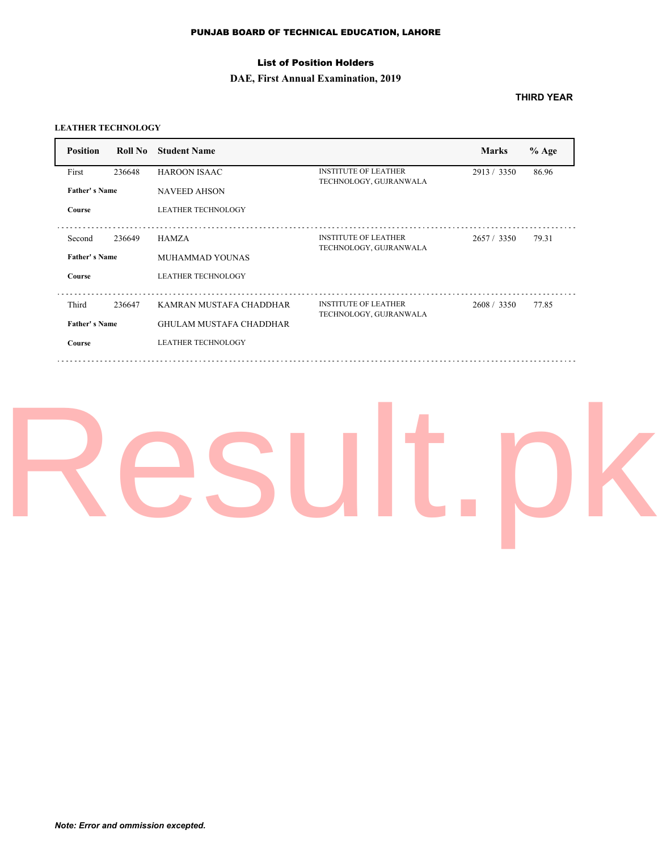### List of Position Holders

### **DAE, First Annual Examination, 2019**

### **THIRD YEAR**

### **LEATHER TECHNOLOGY**

| <b>Position</b>      | Roll No | <b>Student Name</b>            |                                                       | <b>Marks</b> | $%$ Age |
|----------------------|---------|--------------------------------|-------------------------------------------------------|--------------|---------|
| First                | 236648  | <b>HAROON ISAAC</b>            | <b>INSTITUTE OF LEATHER</b><br>TECHNOLOGY, GUJRANWALA | 2913 / 3350  | 86.96   |
| <b>Father's Name</b> |         | <b>NAVEED AHSON</b>            |                                                       |              |         |
| Course               |         | <b>LEATHER TECHNOLOGY</b>      |                                                       |              |         |
| Second               | 236649  | <b>HAMZA</b>                   | <b>INSTITUTE OF LEATHER</b><br>TECHNOLOGY, GUJRANWALA | 2657/3350    | 79.31   |
| <b>Father's Name</b> |         | MUHAMMAD YOUNAS                |                                                       |              |         |
| Course               |         | <b>LEATHER TECHNOLOGY</b>      |                                                       |              |         |
| Third                | 236647  | KAMRAN MUSTAFA CHADDHAR        | <b>INSTITUTE OF LEATHER</b>                           | 2608 / 3350  | 77.85   |
| <b>Father's Name</b> |         | <b>GHULAM MUSTAFA CHADDHAR</b> | TECHNOLOGY, GUJRANWALA                                |              |         |
| Course               |         | <b>LEATHER TECHNOLOGY</b>      |                                                       |              |         |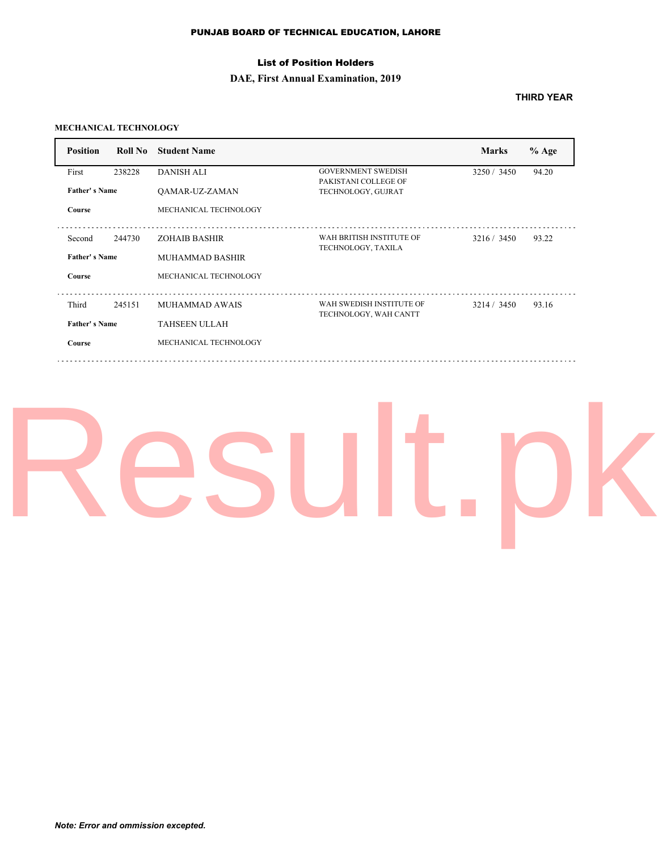### List of Position Holders

### **DAE, First Annual Examination, 2019**

### **THIRD YEAR**

### **MECHANICAL TECHNOLOGY**

| <b>Position</b>                         | Roll No | <b>Student Name</b>                                                    |                                                   | <b>Marks</b> | $%$ Age |
|-----------------------------------------|---------|------------------------------------------------------------------------|---------------------------------------------------|--------------|---------|
| First                                   | 238228  | <b>DANISH ALI</b>                                                      | <b>GOVERNMENT SWEDISH</b><br>PAKISTANI COLLEGE OF | 3250 / 3450  | 94.20   |
| <b>Father's Name</b>                    |         | <b>OAMAR-UZ-ZAMAN</b>                                                  | TECHNOLOGY, GUJRAT                                |              |         |
| Course                                  |         | MECHANICAL TECHNOLOGY                                                  |                                                   |              |         |
| Second                                  | 244730  | <b>ZOHAIB BASHIR</b>                                                   | WAH BRITISH INSTITUTE OF<br>TECHNOLOGY, TAXILA    | 3216 / 3450  | 93.22   |
| Father's Name                           |         | MUHAMMAD BASHIR                                                        |                                                   |              |         |
| Course                                  |         | MECHANICAL TECHNOLOGY                                                  |                                                   |              |         |
| Third<br><b>Father's Name</b><br>Course | 245151  | <b>MUHAMMAD AWAIS</b><br><b>TAHSEEN ULLAH</b><br>MECHANICAL TECHNOLOGY | WAH SWEDISH INSTITUTE OF<br>TECHNOLOGY, WAH CANTT | 3214 / 3450  | 93.16   |
|                                         |         |                                                                        |                                                   |              |         |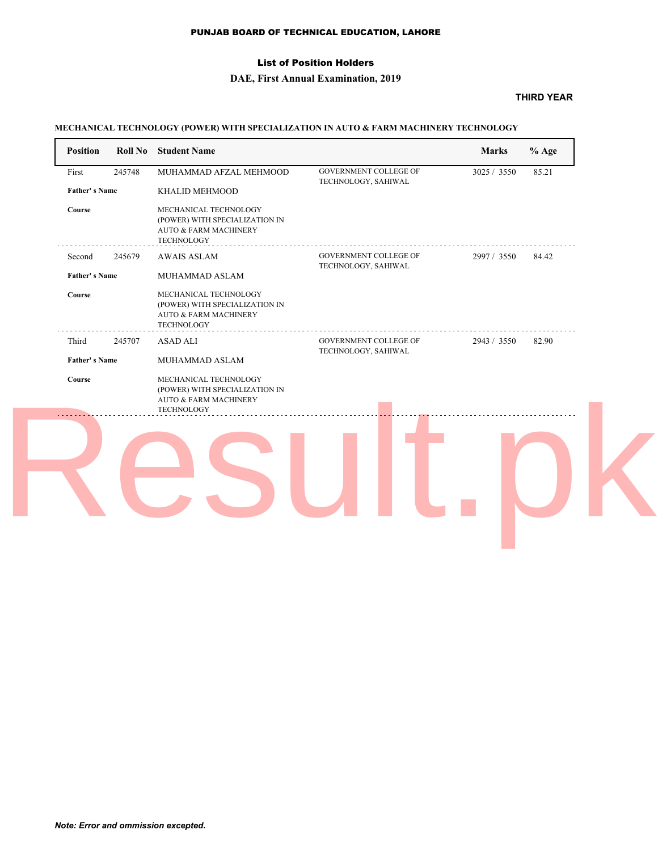### List of Position Holders

### **DAE, First Annual Examination, 2019**

### **THIRD YEAR**

### **MECHANICAL TECHNOLOGY (POWER) WITH SPECIALIZATION IN AUTO & FARM MACHINERY TECHNOLOGY**

| <b>Position</b><br>Roll No | <b>Student Name</b>                                                                                              |                                                     | <b>Marks</b> | $%$ Age |
|----------------------------|------------------------------------------------------------------------------------------------------------------|-----------------------------------------------------|--------------|---------|
| 245748<br>First            | MUHAMMAD AFZAL MEHMOOD                                                                                           | <b>GOVERNMENT COLLEGE OF</b><br>TECHNOLOGY, SAHIWAL | 3025 / 3550  | 85.21   |
| <b>Father's Name</b>       | KHALID MEHMOOD                                                                                                   |                                                     |              |         |
| Course                     | MECHANICAL TECHNOLOGY<br>(POWER) WITH SPECIALIZATION IN<br><b>AUTO &amp; FARM MACHINERY</b><br>TECHNOLOGY        |                                                     |              |         |
| 245679<br>Second           | <b>AWAIS ASLAM</b>                                                                                               | GOVERNMENT COLLEGE OF<br>TECHNOLOGY, SAHIWAL        | 2997 / 3550  | 84.42   |
| <b>Father's Name</b>       | MUHAMMAD ASLAM                                                                                                   |                                                     |              |         |
| Course                     | MECHANICAL TECHNOLOGY<br>(POWER) WITH SPECIALIZATION IN<br><b>AUTO &amp; FARM MACHINERY</b><br><b>TECHNOLOGY</b> |                                                     |              |         |
| Third<br>245707            | <b>ASAD ALI</b>                                                                                                  | <b>GOVERNMENT COLLEGE OF</b><br>TECHNOLOGY, SAHIWAL | 2943 / 3550  | 82.90   |
| Father's Name              | MUHAMMAD ASLAM                                                                                                   |                                                     |              |         |
| Course                     | MECHANICAL TECHNOLOGY<br>(POWER) WITH SPECIALIZATION IN<br><b>AUTO &amp; FARM MACHINERY</b><br><b>TECHNOLOGY</b> |                                                     |              |         |
|                            |                                                                                                                  |                                                     |              |         |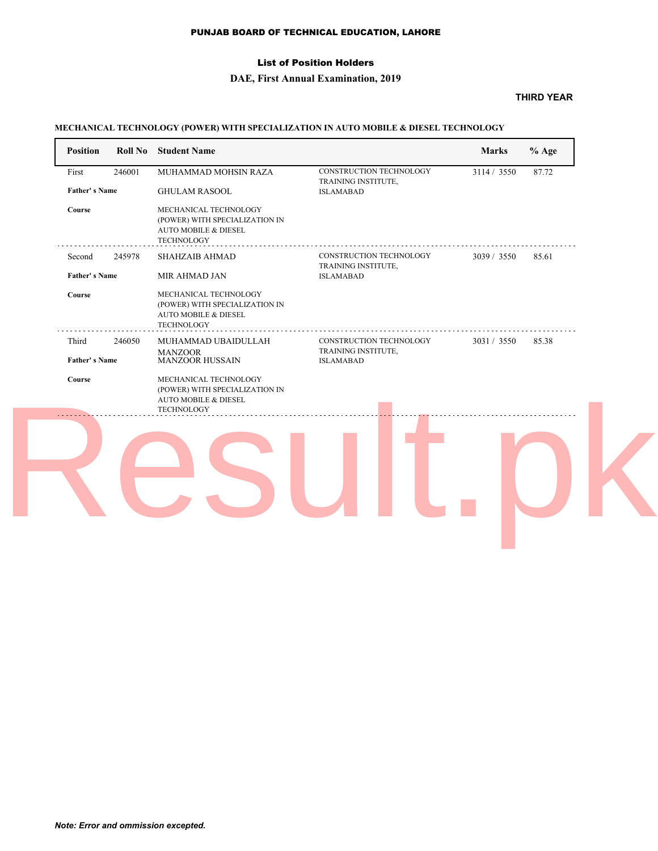### List of Position Holders

### **DAE, First Annual Examination, 2019**

### **THIRD YEAR**

### **MECHANICAL TECHNOLOGY (POWER) WITH SPECIALIZATION IN AUTO MOBILE & DIESEL TECHNOLOGY**

| <b>Roll No</b><br><b>Position</b> | <b>Student Name</b>                                                                                             |                                                | <b>Marks</b> | $%$ Age |
|-----------------------------------|-----------------------------------------------------------------------------------------------------------------|------------------------------------------------|--------------|---------|
| 246001<br>First                   | MUHAMMAD MOHSIN RAZA                                                                                            | CONSTRUCTION TECHNOLOGY                        | 3114 / 3550  | 87.72   |
| <b>Father's Name</b>              | <b>GHULAM RASOOL</b>                                                                                            | TRAINING INSTITUTE,<br><b>ISLAMABAD</b>        |              |         |
| Course                            | MECHANICAL TECHNOLOGY<br>(POWER) WITH SPECIALIZATION IN<br><b>AUTO MOBILE &amp; DIESEL</b><br><b>TECHNOLOGY</b> |                                                |              |         |
| 245978<br>Second                  | <b>SHAHZAIB AHMAD</b>                                                                                           | CONSTRUCTION TECHNOLOGY<br>TRAINING INSTITUTE, | 3039 / 3550  | 85.61   |
| <b>Father's Name</b>              | MIR AHMAD JAN                                                                                                   | <b>ISLAMABAD</b>                               |              |         |
| Course                            | MECHANICAL TECHNOLOGY<br>(POWER) WITH SPECIALIZATION IN<br><b>AUTO MOBILE &amp; DIESEL</b><br><b>TECHNOLOGY</b> |                                                |              |         |
| Third<br>246050                   | MUHAMMAD UBAIDULLAH                                                                                             | CONSTRUCTION TECHNOLOGY                        | 3031 / 3550  | 85.38   |
| <b>Father's Name</b>              | <b>MANZOOR</b><br><b>MANZOOR HUSSAIN</b>                                                                        | TRAINING INSTITUTE,<br><b>ISLAMABAD</b>        |              |         |
| Course                            | MECHANICAL TECHNOLOGY<br>(POWER) WITH SPECIALIZATION IN<br><b>AUTO MOBILE &amp; DIESEL</b><br><b>TECHNOLOGY</b> |                                                |              |         |
|                                   |                                                                                                                 |                                                |              |         |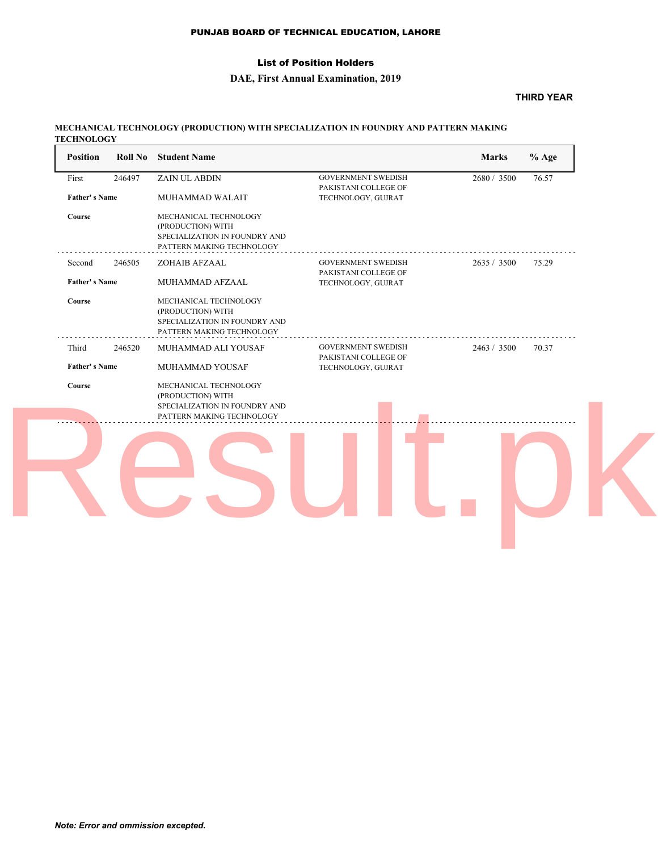### List of Position Holders

### **DAE, First Annual Examination, 2019**

### **THIRD YEAR**

### **MECHANICAL TECHNOLOGY (PRODUCTION) WITH SPECIALIZATION IN FOUNDRY AND PATTERN MAKING TECHNOLOGY**

| <b>Roll No</b><br><b>Position</b> | <b>Student Name</b>                                                                                      |                                                   | <b>Marks</b> | $%$ Age |
|-----------------------------------|----------------------------------------------------------------------------------------------------------|---------------------------------------------------|--------------|---------|
| 246497<br>First                   | <b>ZAIN UL ABDIN</b>                                                                                     | <b>GOVERNMENT SWEDISH</b>                         | 2680 / 3500  | 76.57   |
| <b>Father's Name</b>              | MUHAMMAD WALAIT                                                                                          | PAKISTANI COLLEGE OF<br>TECHNOLOGY, GUJRAT        |              |         |
| Course                            | MECHANICAL TECHNOLOGY<br>(PRODUCTION) WITH<br>SPECIALIZATION IN FOUNDRY AND<br>PATTERN MAKING TECHNOLOGY |                                                   |              |         |
| 246505<br>Second                  | ZOHAIB AFZAAL                                                                                            | <b>GOVERNMENT SWEDISH</b>                         | 2635 / 3500  | 75.29   |
| <b>Father's Name</b>              | MUHAMMAD AFZAAL                                                                                          | PAKISTANI COLLEGE OF<br>TECHNOLOGY, GUJRAT        |              |         |
| Course                            | MECHANICAL TECHNOLOGY<br>(PRODUCTION) WITH<br>SPECIALIZATION IN FOUNDRY AND<br>PATTERN MAKING TECHNOLOGY |                                                   |              |         |
| Third<br>246520                   | MUHAMMAD ALI YOUSAF                                                                                      | <b>GOVERNMENT SWEDISH</b><br>PAKISTANI COLLEGE OF | 2463 / 3500  | 70.37   |
| <b>Father's Name</b>              | MUHAMMAD YOUSAF                                                                                          | TECHNOLOGY, GUJRAT                                |              |         |
| Course                            | MECHANICAL TECHNOLOGY<br>(PRODUCTION) WITH<br>SPECIALIZATION IN FOUNDRY AND<br>PATTERN MAKING TECHNOLOGY |                                                   |              |         |
|                                   |                                                                                                          |                                                   |              |         |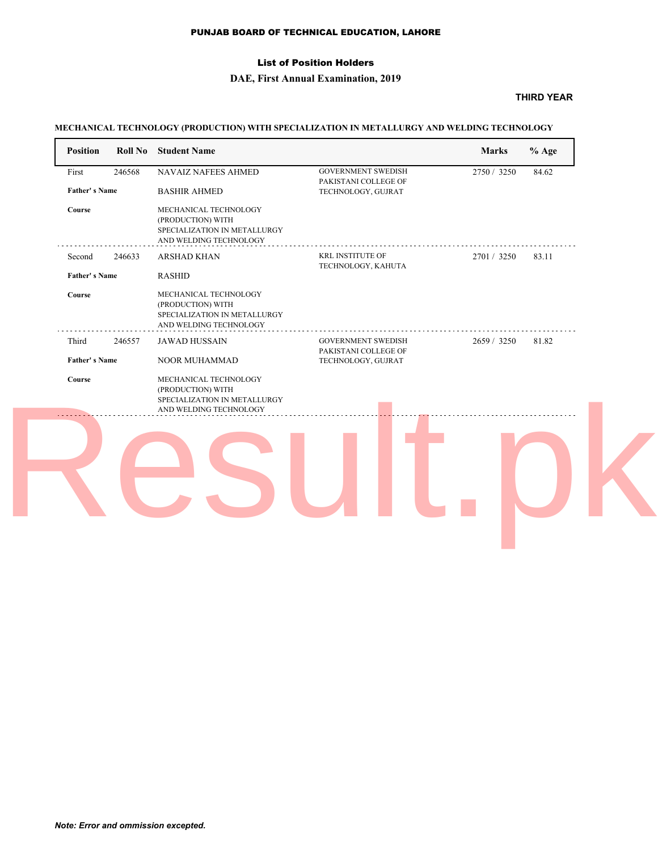### List of Position Holders

### **DAE, First Annual Examination, 2019**

### **THIRD YEAR**

### **MECHANICAL TECHNOLOGY (PRODUCTION) WITH SPECIALIZATION IN METALLURGY AND WELDING TECHNOLOGY**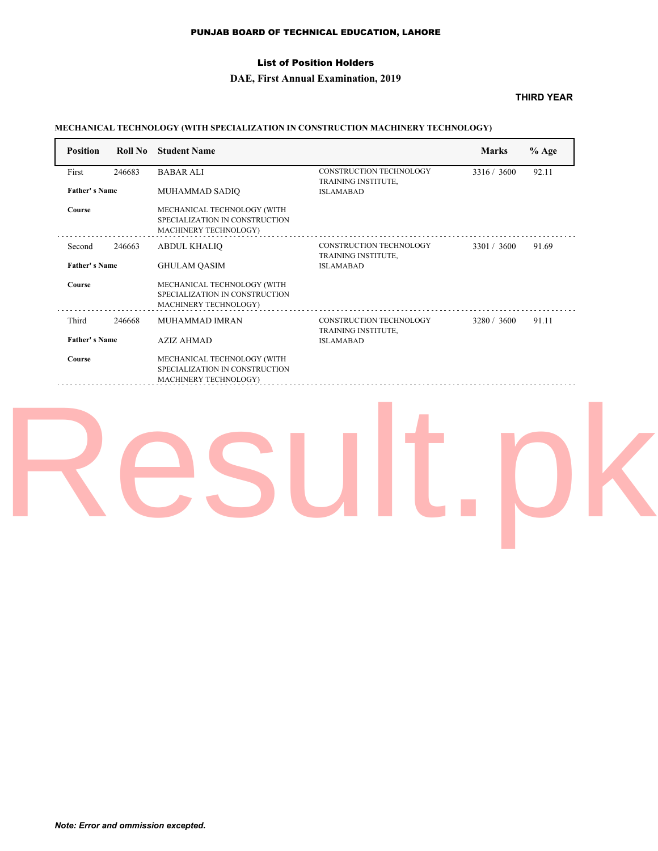### List of Position Holders

### **DAE, First Annual Examination, 2019**

### **THIRD YEAR**

### **MECHANICAL TECHNOLOGY (WITH SPECIALIZATION IN CONSTRUCTION MACHINERY TECHNOLOGY)**

| <b>Position</b>      | Roll No | <b>Student Name</b>                                                                    |                                                              | <b>Marks</b> | $%$ Age |
|----------------------|---------|----------------------------------------------------------------------------------------|--------------------------------------------------------------|--------------|---------|
| First                | 246683  | <b>BABAR ALI</b>                                                                       | <b>CONSTRUCTION TECHNOLOGY</b><br>TRAINING INSTITUTE,        | 3316 / 3600  | 92.11   |
| <b>Father's Name</b> |         | MUHAMMAD SADIQ                                                                         | <b>ISLAMABAD</b>                                             |              |         |
| Course               |         | MECHANICAL TECHNOLOGY (WITH<br>SPECIALIZATION IN CONSTRUCTION<br>MACHINERY TECHNOLOGY) |                                                              |              |         |
| Second               | 246663  | <b>ABDUL KHALIQ</b>                                                                    | <b>CONSTRUCTION TECHNOLOGY</b><br><b>TRAINING INSTITUTE,</b> | 3301 / 3600  | 91.69   |
| <b>Father's Name</b> |         | <b>GHULAM QASIM</b>                                                                    | <b>ISLAMABAD</b>                                             |              |         |
| Course               |         | MECHANICAL TECHNOLOGY (WITH<br>SPECIALIZATION IN CONSTRUCTION<br>MACHINERY TECHNOLOGY) |                                                              |              |         |
| Third                | 246668  | MUHAMMAD IMRAN                                                                         | <b>CONSTRUCTION TECHNOLOGY</b><br><b>TRAINING INSTITUTE,</b> | 3280 / 3600  | 91.11   |
| <b>Father's Name</b> |         | <b>AZIZ AHMAD</b>                                                                      | <b>ISLAMABAD</b>                                             |              |         |
| <b>Course</b>        |         | MECHANICAL TECHNOLOGY (WITH<br>SPECIALIZATION IN CONSTRUCTION<br>MACHINERY TECHNOLOGY) |                                                              |              |         |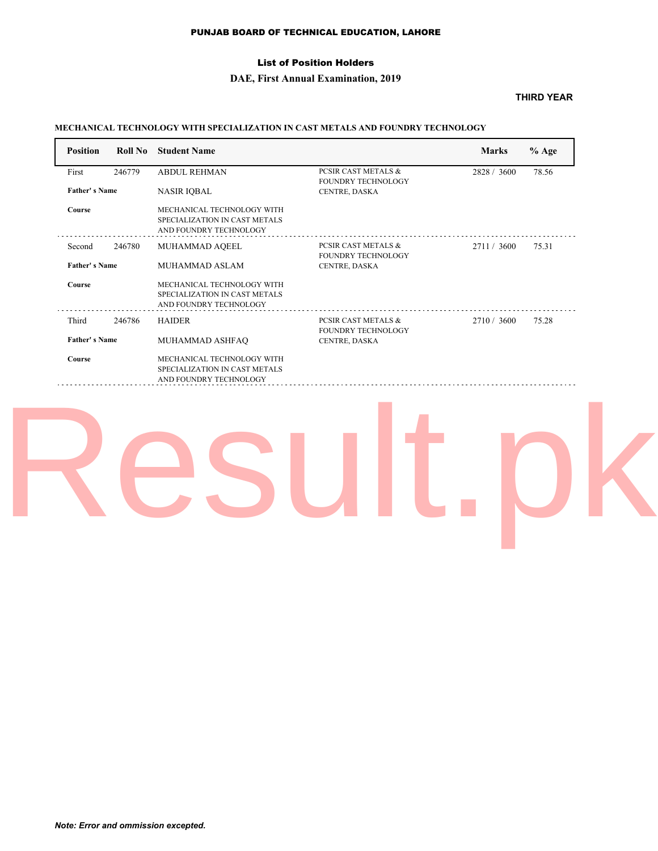### List of Position Holders

### **DAE, First Annual Examination, 2019**

### **THIRD YEAR**

### **MECHANICAL TECHNOLOGY WITH SPECIALIZATION IN CAST METALS AND FOUNDRY TECHNOLOGY**

| <b>Position</b>      | Roll No | <b>Student Name</b>                                                                   |                                                             | <b>Marks</b> | $%$ Age |
|----------------------|---------|---------------------------------------------------------------------------------------|-------------------------------------------------------------|--------------|---------|
| First                | 246779  | <b>ABDUL REHMAN</b>                                                                   | PCSIR CAST METALS &<br><b>FOUNDRY TECHNOLOGY</b>            | 2828 / 3600  | 78.56   |
| <b>Father's Name</b> |         | <b>NASIR IQBAL</b>                                                                    | CENTRE, DASKA                                               |              |         |
| Course               |         | MECHANICAL TECHNOLOGY WITH<br>SPECIALIZATION IN CAST METALS<br>AND FOUNDRY TECHNOLOGY |                                                             |              |         |
| Second               | 246780  | MUHAMMAD AQEEL                                                                        | <b>PCSIR CAST METALS &amp;</b><br><b>FOUNDRY TECHNOLOGY</b> | 2711 / 3600  | 75.31   |
| <b>Father's Name</b> |         | MUHAMMAD ASLAM                                                                        | CENTRE, DASKA                                               |              |         |
| Course               |         | MECHANICAL TECHNOLOGY WITH<br>SPECIALIZATION IN CAST METALS<br>AND FOUNDRY TECHNOLOGY |                                                             |              |         |
| Third                | 246786  | <b>HAIDER</b>                                                                         | <b>PCSIR CAST METALS &amp;</b><br><b>FOUNDRY TECHNOLOGY</b> | 2710 / 3600  | 75.28   |
| <b>Father's Name</b> |         | MUHAMMAD ASHFAQ                                                                       | CENTRE, DASKA                                               |              |         |
| Course               |         | MECHANICAL TECHNOLOGY WITH<br>SPECIALIZATION IN CAST METALS<br>AND FOUNDRY TECHNOLOGY |                                                             |              |         |

### Kesult.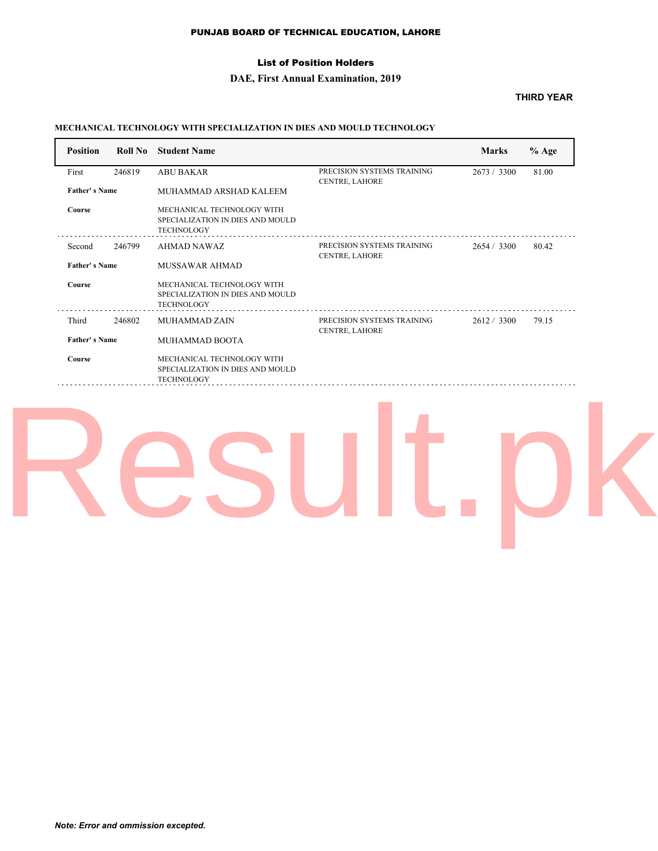### List of Position Holders

### **DAE, First Annual Examination, 2019**

### **THIRD YEAR**

### **MECHANICAL TECHNOLOGY WITH SPECIALIZATION IN DIES AND MOULD TECHNOLOGY**

| <b>Position</b>      | Roll No | <b>Student Name</b>                                                                 |                                              | <b>Marks</b> | $%$ Age |
|----------------------|---------|-------------------------------------------------------------------------------------|----------------------------------------------|--------------|---------|
| First                | 246819  | <b>ABU BAKAR</b>                                                                    | PRECISION SYSTEMS TRAINING<br>CENTRE, LAHORE | 2673 / 3300  | 81.00   |
| <b>Father's Name</b> |         | MUHAMMAD ARSHAD KALEEM                                                              |                                              |              |         |
| Course               |         | MECHANICAL TECHNOLOGY WITH<br>SPECIALIZATION IN DIES AND MOULD<br><b>TECHNOLOGY</b> |                                              |              |         |
| Second               | 246799  | <b>AHMAD NAWAZ</b>                                                                  | PRECISION SYSTEMS TRAINING<br>CENTRE, LAHORE | 2654 / 3300  | 80.42   |
| Father's Name        |         | MUSSAWAR AHMAD                                                                      |                                              |              |         |
| <b>Course</b>        |         | MECHANICAL TECHNOLOGY WITH<br>SPECIALIZATION IN DIES AND MOULD<br><b>TECHNOLOGY</b> |                                              |              |         |
| Third                | 246802  | MUHAMMAD ZAIN                                                                       | PRECISION SYSTEMS TRAINING<br>CENTRE, LAHORE | 2612 / 3300  | 79.15   |
| Father's Name        |         | MUHAMMAD BOOTA                                                                      |                                              |              |         |
| <b>Course</b>        |         | MECHANICAL TECHNOLOGY WITH<br>SPECIALIZATION IN DIES AND MOULD<br><b>TECHNOLOGY</b> |                                              |              |         |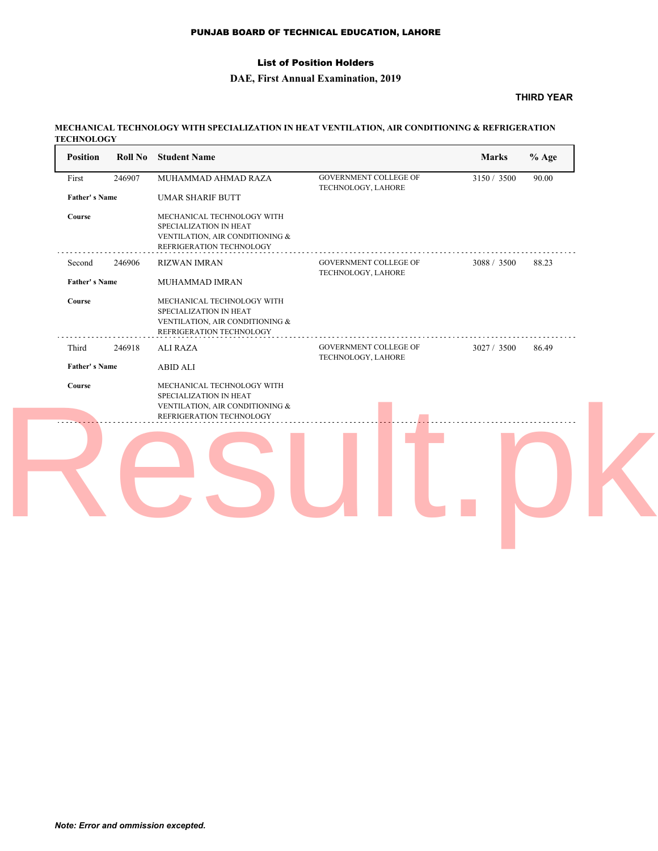### List of Position Holders

### **DAE, First Annual Examination, 2019**

### **THIRD YEAR**

### **MECHANICAL TECHNOLOGY WITH SPECIALIZATION IN HEAT VENTILATION, AIR CONDITIONING & REFRIGERATION TECHNOLOGY**

| <b>Roll No</b><br><b>Position</b> | <b>Student Name</b>                                                                                                    |                                                    | <b>Marks</b> | $%$ Age |
|-----------------------------------|------------------------------------------------------------------------------------------------------------------------|----------------------------------------------------|--------------|---------|
| 246907<br>First                   | MUHAMMAD AHMAD RAZA                                                                                                    | <b>GOVERNMENT COLLEGE OF</b><br>TECHNOLOGY, LAHORE | 3150 / 3500  | 90.00   |
| <b>Father's Name</b>              | <b>UMAR SHARIF BUTT</b>                                                                                                |                                                    |              |         |
| Course                            | MECHANICAL TECHNOLOGY WITH<br>SPECIALIZATION IN HEAT<br>VENTILATION, AIR CONDITIONING $\&$<br>REFRIGERATION TECHNOLOGY |                                                    |              |         |
| 246906<br>Second                  | <b>RIZWAN IMRAN</b>                                                                                                    | <b>GOVERNMENT COLLEGE OF</b>                       | 3088 / 3500  | 88.23   |
| <b>Father's Name</b>              | MUHAMMAD IMRAN                                                                                                         | TECHNOLOGY, LAHORE                                 |              |         |
| Course                            | MECHANICAL TECHNOLOGY WITH<br>SPECIALIZATION IN HEAT<br>VENTILATION, AIR CONDITIONING &<br>REFRIGERATION TECHNOLOGY    |                                                    |              |         |
| 246918<br>Third                   | <b>ALI RAZA</b>                                                                                                        | GOVERNMENT COLLEGE OF<br>TECHNOLOGY, LAHORE        | 3027 / 3500  | 86.49   |
| <b>Father's Name</b>              | <b>ABID ALI</b>                                                                                                        |                                                    |              |         |
| Course                            | MECHANICAL TECHNOLOGY WITH<br>SPECIALIZATION IN HEAT                                                                   |                                                    |              |         |
|                                   | VENTILATION, AIR CONDITIONING &<br>REFRIGERATION TECHNOLOGY                                                            |                                                    |              |         |
|                                   |                                                                                                                        |                                                    |              |         |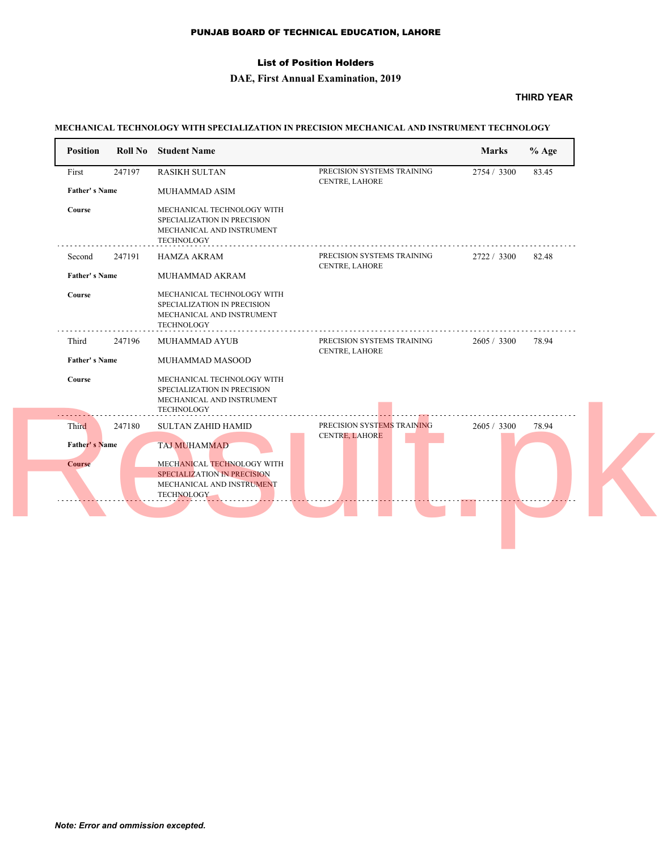### List of Position Holders

### **DAE, First Annual Examination, 2019**

### **THIRD YEAR**

### **MECHANICAL TECHNOLOGY WITH SPECIALIZATION IN PRECISION MECHANICAL AND INSTRUMENT TECHNOLOGY**

| <b>Position</b>      |        | <b>Roll No</b> Student Name                                                                                 |                                              | <b>Marks</b> | $%$ Age |
|----------------------|--------|-------------------------------------------------------------------------------------------------------------|----------------------------------------------|--------------|---------|
| First                | 247197 | <b>RASIKH SULTAN</b>                                                                                        | PRECISION SYSTEMS TRAINING<br>CENTRE, LAHORE | 2754 / 3300  | 83.45   |
| <b>Father's Name</b> |        | MUHAMMAD ASIM                                                                                               |                                              |              |         |
| Course               |        | MECHANICAL TECHNOLOGY WITH<br>SPECIALIZATION IN PRECISION<br>MECHANICAL AND INSTRUMENT<br><b>TECHNOLOGY</b> |                                              |              |         |
| Second               | 247191 | <b>HAMZA AKRAM</b>                                                                                          | PRECISION SYSTEMS TRAINING<br>CENTRE, LAHORE | 2722 / 3300  | 82.48   |
| <b>Father's Name</b> |        | MUHAMMAD AKRAM                                                                                              |                                              |              |         |
| Course               |        | MECHANICAL TECHNOLOGY WITH<br>SPECIALIZATION IN PRECISION<br>MECHANICAL AND INSTRUMENT<br><b>TECHNOLOGY</b> |                                              |              |         |
| Third                | 247196 | MUHAMMAD AYUB                                                                                               | PRECISION SYSTEMS TRAINING<br>CENTRE, LAHORE | 2605 / 3300  | 78.94   |
| <b>Father's Name</b> |        | MUHAMMAD MASOOD                                                                                             |                                              |              |         |
| Course               |        | MECHANICAL TECHNOLOGY WITH<br>SPECIALIZATION IN PRECISION<br>MECHANICAL AND INSTRUMENT<br><b>TECHNOLOGY</b> |                                              |              |         |
| Third                | 247180 | <b>SULTAN ZAHID HAMID</b>                                                                                   | PRECISION SYSTEMS TRAINING<br>CENTRE, LAHORE | 2605 / 3300  | 78.94   |
| <b>Father's Name</b> |        | <b>TAJ MUHAMMAD</b>                                                                                         |                                              |              |         |
| <b>Course</b>        |        | MECHANICAL TECHNOLOGY WITH<br>SPECIALIZATION IN PRECISION<br>MECHANICAL AND INSTRUMENT<br><b>TECHNOLOGY</b> |                                              |              |         |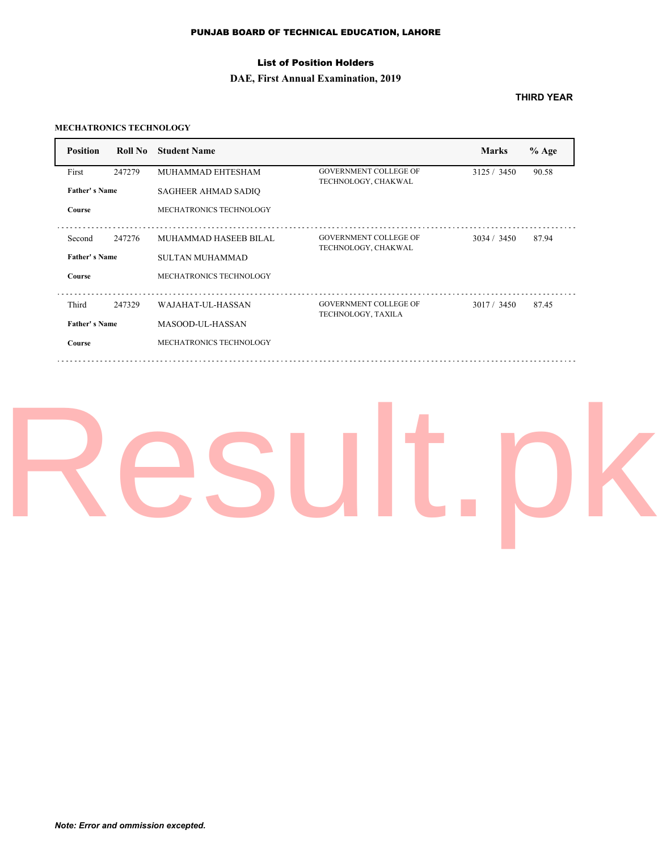### List of Position Holders

### **DAE, First Annual Examination, 2019**

### **THIRD YEAR**

### **MECHATRONICS TECHNOLOGY**

| <b>Position</b>      | Roll No | <b>Student Name</b>            |                                                     | <b>Marks</b> | $%$ Age |
|----------------------|---------|--------------------------------|-----------------------------------------------------|--------------|---------|
| First                | 247279  | MUHAMMAD EHTESHAM              | <b>GOVERNMENT COLLEGE OF</b><br>TECHNOLOGY, CHAKWAL | 3125 / 3450  | 90.58   |
| <b>Father's Name</b> |         | <b>SAGHEER AHMAD SADIO</b>     |                                                     |              |         |
| <b>Course</b>        |         | MECHATRONICS TECHNOLOGY        |                                                     |              |         |
| Second               | 247276  | MUHAMMAD HASEEB BILAL          | <b>GOVERNMENT COLLEGE OF</b><br>TECHNOLOGY, CHAKWAL | 3034 / 3450  | 87.94   |
| <b>Father's Name</b> |         | <b>SULTAN MUHAMMAD</b>         |                                                     |              |         |
| <b>Course</b>        |         | MECHATRONICS TECHNOLOGY        |                                                     |              |         |
| Third                | 247329  | WAJAHAT-UL-HASSAN              | <b>GOVERNMENT COLLEGE OF</b><br>TECHNOLOGY, TAXILA  | 3017/3450    | 87.45   |
| <b>Father's Name</b> |         | MASOOD-UL-HASSAN               |                                                     |              |         |
| <b>Course</b>        |         | <b>MECHATRONICS TECHNOLOGY</b> |                                                     |              |         |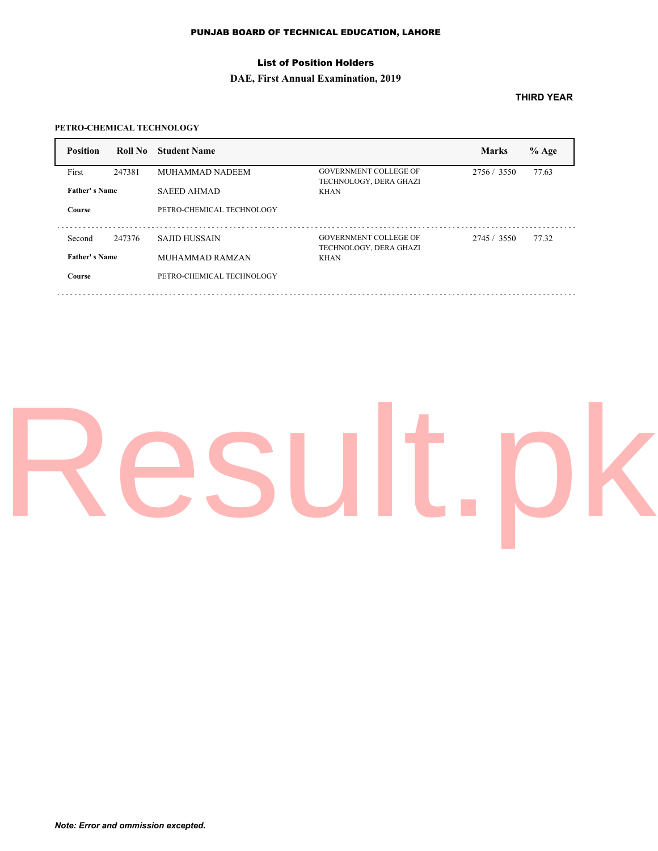### List of Position Holders

### **DAE, First Annual Examination, 2019**

### **THIRD YEAR**

### **PETRO-CHEMICAL TECHNOLOGY**

| <b>Position</b>      | Roll No | <b>Student Name</b>       |                                                        | <b>Marks</b> | $%$ Age |
|----------------------|---------|---------------------------|--------------------------------------------------------|--------------|---------|
| First                | 247381  | MUHAMMAD NADEEM           | <b>GOVERNMENT COLLEGE OF</b><br>TECHNOLOGY, DERA GHAZI | 2756 / 3550  | 77.63   |
| <b>Father's Name</b> |         | <b>SAEED AHMAD</b>        | <b>KHAN</b>                                            |              |         |
| Course               |         | PETRO-CHEMICAL TECHNOLOGY |                                                        |              |         |
| Second               | 247376  | <b>SAJID HUSSAIN</b>      | <b>GOVERNMENT COLLEGE OF</b><br>TECHNOLOGY, DERA GHAZI | 2745 / 3550  | 77.32   |
| <b>Father's Name</b> |         | MUHAMMAD RAMZAN           | <b>KHAN</b>                                            |              |         |
| Course               |         | PETRO-CHEMICAL TECHNOLOGY |                                                        |              |         |
|                      |         |                           |                                                        |              |         |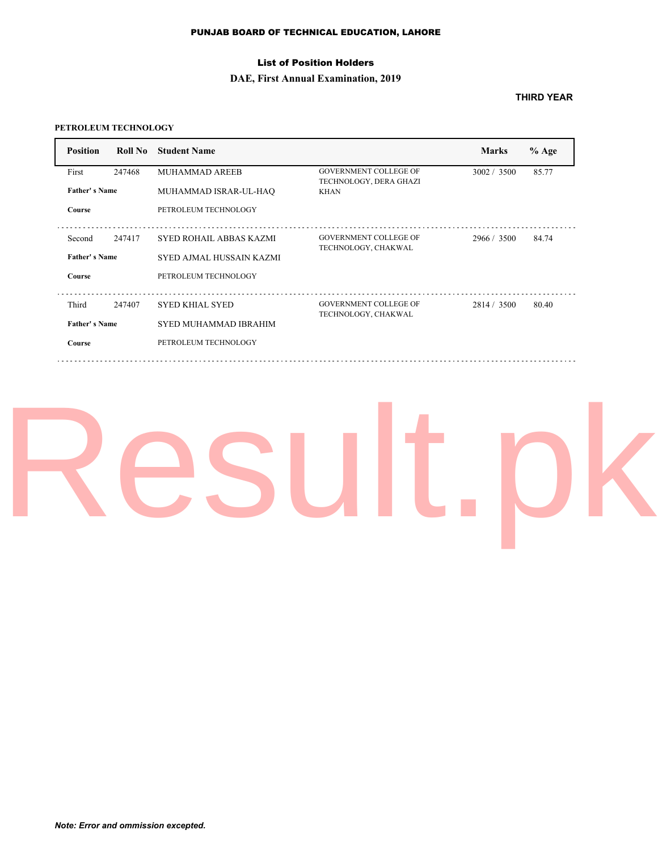### List of Position Holders

### **DAE, First Annual Examination, 2019**

### **THIRD YEAR**

### **PETROLEUM TECHNOLOGY**

| <b>Position</b>      | Roll No | <b>Student Name</b>             |                                                        | <b>Marks</b> | $%$ Age |
|----------------------|---------|---------------------------------|--------------------------------------------------------|--------------|---------|
| First                | 247468  | MUHAMMAD AREEB                  | <b>GOVERNMENT COLLEGE OF</b><br>TECHNOLOGY, DERA GHAZI | 3002 / 3500  | 85.77   |
| <b>Father's Name</b> |         | MUHAMMAD ISRAR-UL-HAO           | <b>KHAN</b>                                            |              |         |
| Course               |         | PETROLEUM TECHNOLOGY            |                                                        |              |         |
| Second               | 247417  | <b>SYED ROHAIL ABBAS KAZMI</b>  | <b>GOVERNMENT COLLEGE OF</b><br>TECHNOLOGY, CHAKWAL    | 2966 / 3500  | 84.74   |
| <b>Father's Name</b> |         | <b>SYED AJMAL HUSSAIN KAZMI</b> |                                                        |              |         |
| Course               |         | PETROLEUM TECHNOLOGY            |                                                        |              |         |
| Third                | 247407  | <b>SYED KHIAL SYED</b>          | <b>GOVERNMENT COLLEGE OF</b>                           | 2814/3500    | 80.40   |
| <b>Father's Name</b> |         | SYED MUHAMMAD IBRAHIM           | TECHNOLOGY, CHAKWAL                                    |              |         |
| <b>Course</b>        |         | PETROLEUM TECHNOLOGY            |                                                        |              |         |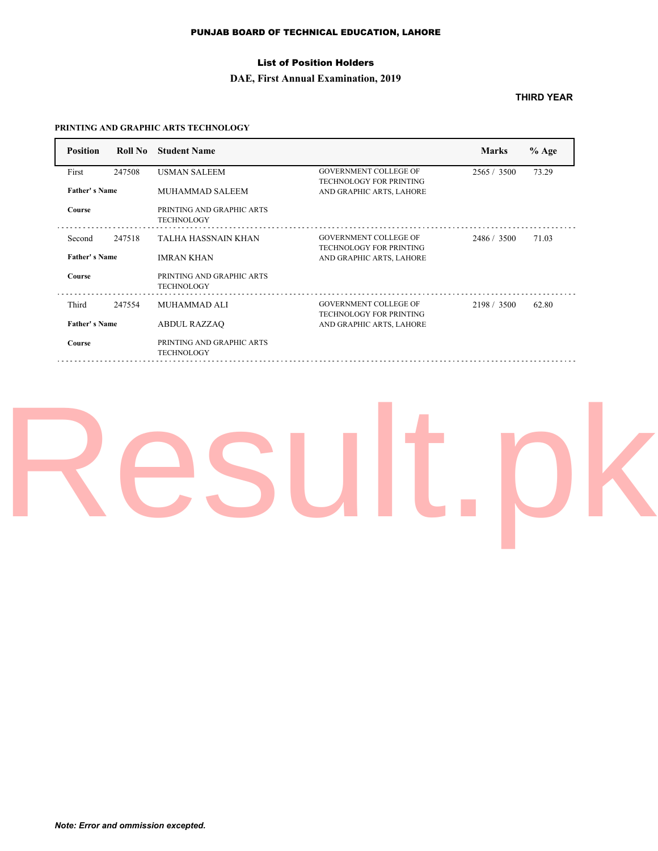### List of Position Holders

### **DAE, First Annual Examination, 2019**

### **THIRD YEAR**

### **PRINTING AND GRAPHIC ARTS TECHNOLOGY**

| <b>Position</b>      | Roll No | <b>Student Name</b>                            |                                                                | <b>Marks</b> | $%$ Age |
|----------------------|---------|------------------------------------------------|----------------------------------------------------------------|--------------|---------|
| First                | 247508  | <b>USMAN SALEEM</b>                            | <b>GOVERNMENT COLLEGE OF</b><br><b>TECHNOLOGY FOR PRINTING</b> | 2565 / 3500  | 73.29   |
| <b>Father's Name</b> |         | MUHAMMAD SALEEM                                | AND GRAPHIC ARTS, LAHORE                                       |              |         |
| Course               |         | PRINTING AND GRAPHIC ARTS<br><b>TECHNOLOGY</b> |                                                                |              |         |
| Second               | 247518  | TALHA HASSNAIN KHAN                            | <b>GOVERNMENT COLLEGE OF</b><br><b>TECHNOLOGY FOR PRINTING</b> | 2486 / 3500  | 71.03   |
| <b>Father's Name</b> |         | <b>IMRAN KHAN</b>                              | AND GRAPHIC ARTS, LAHORE                                       |              |         |
| Course               |         | PRINTING AND GRAPHIC ARTS<br><b>TECHNOLOGY</b> |                                                                |              |         |
| Third                | 247554  | MUHAMMAD ALI                                   | <b>GOVERNMENT COLLEGE OF</b><br><b>TECHNOLOGY FOR PRINTING</b> | 2198 / 3500  | 62.80   |
| <b>Father's Name</b> |         | <b>ABDUL RAZZAO</b>                            | AND GRAPHIC ARTS, LAHORE                                       |              |         |
| <b>Course</b>        |         | PRINTING AND GRAPHIC ARTS<br><b>TECHNOLOGY</b> |                                                                |              |         |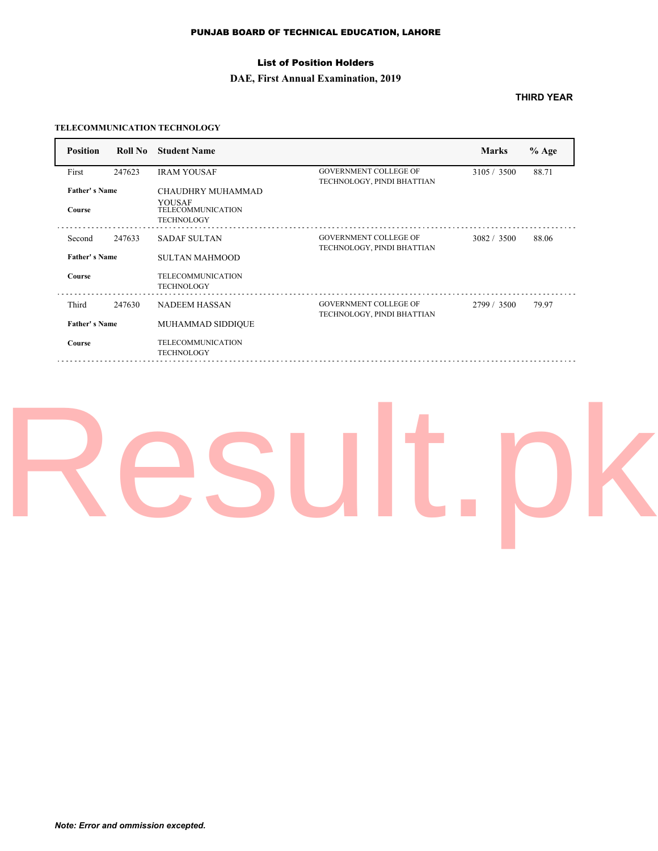### List of Position Holders

### **DAE, First Annual Examination, 2019**

### **THIRD YEAR**

### **TELECOMMUNICATION TECHNOLOGY**

| <b>Position</b>                | Roll No | <b>Student Name</b>                                                          |                                                            | <b>Marks</b> | $%$ Age |
|--------------------------------|---------|------------------------------------------------------------------------------|------------------------------------------------------------|--------------|---------|
| First                          | 247623  | <b>IRAM YOUSAF</b>                                                           | <b>GOVERNMENT COLLEGE OF</b><br>TECHNOLOGY, PINDI BHATTIAN | 3105 / 3500  | 88.71   |
| <b>Father's Name</b><br>Course |         | CHAUDHRY MUHAMMAD<br>YOUSAF<br><b>TELECOMMUNICATION</b><br><b>TECHNOLOGY</b> |                                                            |              |         |
| Second<br><b>Father's Name</b> | 247633  | <b>SADAF SULTAN</b><br><b>SULTAN MAHMOOD</b>                                 | <b>GOVERNMENT COLLEGE OF</b><br>TECHNOLOGY, PINDI BHATTIAN | 3082 / 3500  | 88.06   |
| Course                         |         | <b>TELECOMMUNICATION</b><br><b>TECHNOLOGY</b>                                |                                                            |              |         |
| Third                          | 247630  | <b>NADEEM HASSAN</b>                                                         | <b>GOVERNMENT COLLEGE OF</b><br>TECHNOLOGY, PINDI BHATTIAN | 2799 / 3500  | 79.97   |
| <b>Father's Name</b>           |         | MUHAMMAD SIDDIQUE                                                            |                                                            |              |         |
| <b>Course</b>                  |         | <b>TELECOMMUNICATION</b><br><b>TECHNOLOGY</b>                                |                                                            |              |         |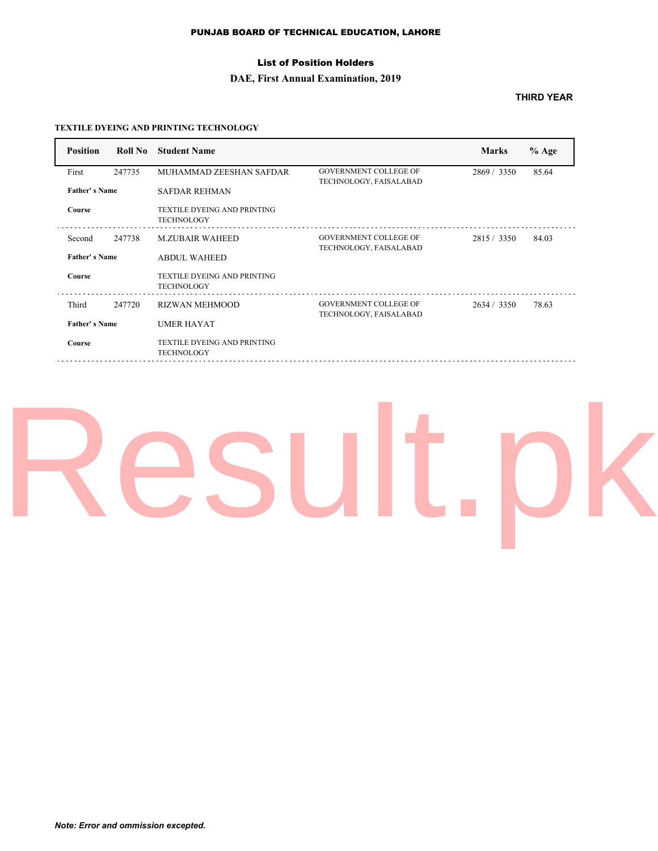### List of Position Holders

### **DAE, First Annual Examination, 2019**

### **THIRD YEAR**

### **TEXTILE DYEING AND PRINTING TECHNOLOGY**

| <b>Position</b>      | Roll No | <b>Student Name</b>                                     |                                                        | <b>Marks</b> | $%$ Age |
|----------------------|---------|---------------------------------------------------------|--------------------------------------------------------|--------------|---------|
| First                | 247735  | MUHAMMAD ZEESHAN SAFDAR                                 | <b>GOVERNMENT COLLEGE OF</b><br>TECHNOLOGY, FAISALABAD | 2869 / 3350  | 85.64   |
| <b>Father's Name</b> |         | <b>SAFDAR REHMAN</b>                                    |                                                        |              |         |
| Course               |         | <b>TEXTILE DYEING AND PRINTING</b><br><b>TECHNOLOGY</b> |                                                        |              |         |
| Second               | 247738  | <b>MZUBAIR WAHEED</b>                                   | <b>GOVERNMENT COLLEGE OF</b>                           | 2815 / 3350  | 84.03   |
| <b>Father's Name</b> |         | <b>ABDUL WAHEED</b>                                     | TECHNOLOGY, FAISALABAD                                 |              |         |
| Course               |         | <b>TEXTILE DYEING AND PRINTING</b><br><b>TECHNOLOGY</b> |                                                        |              |         |
| Third                | 247720  | <b>RIZWAN MEHMOOD</b>                                   | <b>GOVERNMENT COLLEGE OF</b>                           | 2634 / 3350  | 78.63   |
| <b>Father's Name</b> |         | <b>UMER HAYAT</b>                                       | TECHNOLOGY, FAISALABAD                                 |              |         |
| Course               |         | <b>TEXTILE DYEING AND PRINTING</b><br><b>TECHNOLOGY</b> |                                                        |              |         |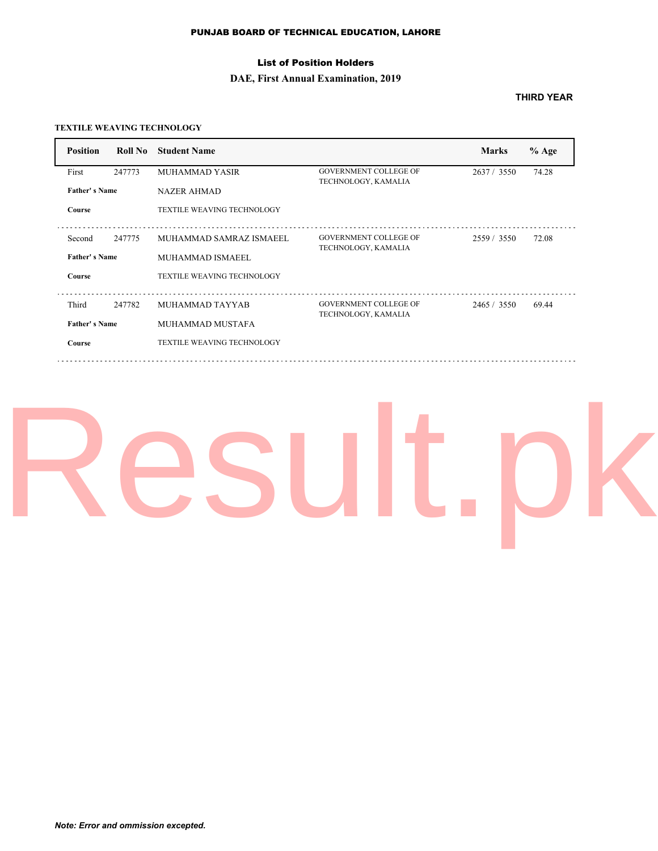### List of Position Holders

### **DAE, First Annual Examination, 2019**

### **THIRD YEAR**

### **TEXTILE WEAVING TECHNOLOGY**

| <b>Position</b>      | Roll No | <b>Student Name</b>               |                                                     | <b>Marks</b> | $%$ Age |
|----------------------|---------|-----------------------------------|-----------------------------------------------------|--------------|---------|
| First                | 247773  | MUHAMMAD YASIR                    | <b>GOVERNMENT COLLEGE OF</b><br>TECHNOLOGY, KAMALIA | 2637 / 3550  | 74.28   |
| <b>Father's Name</b> |         | <b>NAZER AHMAD</b>                |                                                     |              |         |
| Course               |         | <b>TEXTILE WEAVING TECHNOLOGY</b> |                                                     |              |         |
| Second               | 247775  | MUHAMMAD SAMRAZ ISMAEEL           | <b>GOVERNMENT COLLEGE OF</b><br>TECHNOLOGY, KAMALIA | 2559 / 3550  | 72.08   |
| <b>Father's Name</b> |         | MUHAMMAD ISMAEEL                  |                                                     |              |         |
| Course               |         | <b>TEXTILE WEAVING TECHNOLOGY</b> |                                                     |              |         |
| Third                | 247782  | MUHAMMAD TAYYAB                   | <b>GOVERNMENT COLLEGE OF</b>                        | 2465 / 3550  | 69.44   |
| <b>Father's Name</b> |         | MUHAMMAD MUSTAFA                  | TECHNOLOGY, KAMALIA                                 |              |         |
| Course               |         | <b>TEXTILE WEAVING TECHNOLOGY</b> |                                                     |              |         |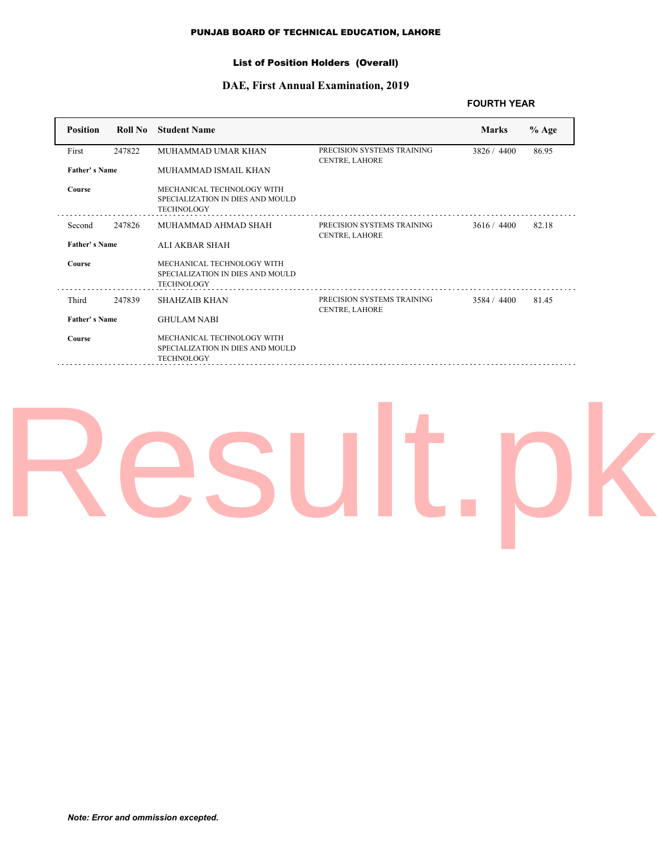### List of Position Holders (Overall)

### **DAE, First Annual Examination, 2019**

### **FOURTH YEAR**

| <b>Position</b>      | Roll No | <b>Student Name</b>                                                                 |                                                     | <b>Marks</b> | $%$ Age |
|----------------------|---------|-------------------------------------------------------------------------------------|-----------------------------------------------------|--------------|---------|
| First                | 247822  | MUHAMMAD UMAR KHAN                                                                  | PRECISION SYSTEMS TRAINING<br><b>CENTRE, LAHORE</b> | 3826 / 4400  | 86.95   |
| <b>Father's Name</b> |         | MUHAMMAD ISMAIL KHAN                                                                |                                                     |              |         |
| Course               |         | MECHANICAL TECHNOLOGY WITH<br>SPECIALIZATION IN DIES AND MOULD<br><b>TECHNOLOGY</b> |                                                     |              |         |
| Second               | 247826  | MUHAMMAD AHMAD SHAH                                                                 | PRECISION SYSTEMS TRAINING<br><b>CENTRE, LAHORE</b> | 3616 / 4400  | 82.18   |
| <b>Father's Name</b> |         | <b>ALI AKBAR SHAH</b>                                                               |                                                     |              |         |
| Course               |         | MECHANICAL TECHNOLOGY WITH<br>SPECIALIZATION IN DIES AND MOULD<br><b>TECHNOLOGY</b> |                                                     |              |         |
| Third                | 247839  | <b>SHAHZAIB KHAN</b>                                                                | PRECISION SYSTEMS TRAINING<br><b>CENTRE, LAHORE</b> | 3584 / 4400  | 81.45   |
| <b>Father's Name</b> |         | <b>GHULAM NABI</b>                                                                  |                                                     |              |         |
| Course               |         | MECHANICAL TECHNOLOGY WITH<br>SPECIALIZATION IN DIES AND MOULD<br><b>TECHNOLOGY</b> |                                                     |              |         |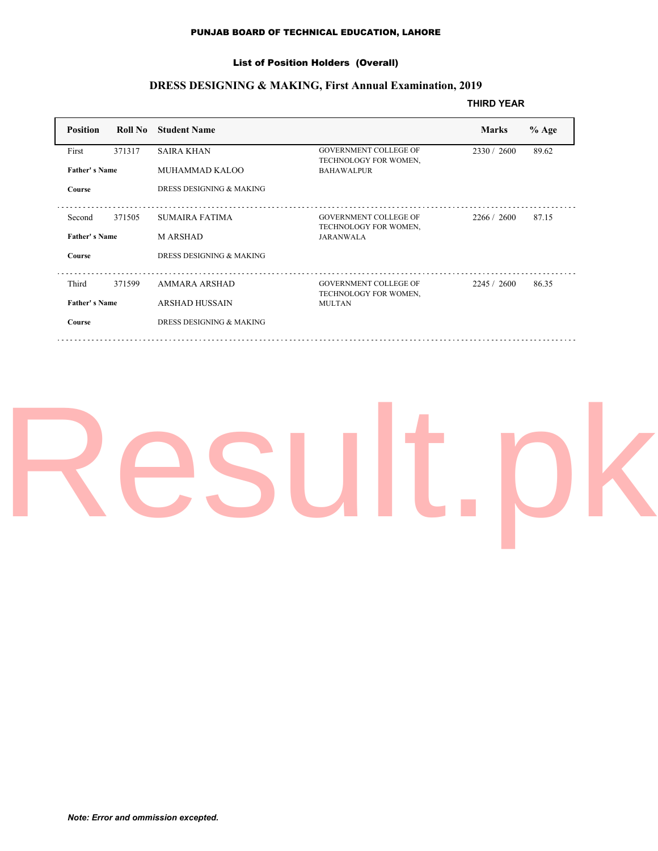### List of Position Holders (Overall)

### **DRESS DESIGNING & MAKING, First Annual Examination, 2019**

### **THIRD YEAR**

| <b>Position</b>      | Roll No | <b>Student Name</b>      |                                                       | <b>Marks</b> | $%$ Age |
|----------------------|---------|--------------------------|-------------------------------------------------------|--------------|---------|
| First                | 371317  | <b>SAIRA KHAN</b>        | <b>GOVERNMENT COLLEGE OF</b><br>TECHNOLOGY FOR WOMEN, | 2330 / 2600  | 89.62   |
| <b>Father's Name</b> |         | MUHAMMAD KALOO           | <b>BAHAWALPUR</b>                                     |              |         |
| Course               |         | DRESS DESIGNING & MAKING |                                                       |              |         |
| Second               | 371505  | <b>SUMAIRA FATIMA</b>    | <b>GOVERNMENT COLLEGE OF</b><br>TECHNOLOGY FOR WOMEN, | 2266 / 2600  | 87.15   |
| <b>Father's Name</b> |         | <b>MARSHAD</b>           | <b>JARANWALA</b>                                      |              |         |
| Course               |         | DRESS DESIGNING & MAKING |                                                       |              |         |
| Third                | 371599  | AMMARA ARSHAD            | <b>GOVERNMENT COLLEGE OF</b>                          | 2245 / 2600  | 86.35   |
| <b>Father's Name</b> |         | <b>ARSHAD HUSSAIN</b>    | TECHNOLOGY FOR WOMEN,<br><b>MULTAN</b>                |              |         |
| Course               |         | DRESS DESIGNING & MAKING |                                                       |              |         |
|                      |         |                          |                                                       |              |         |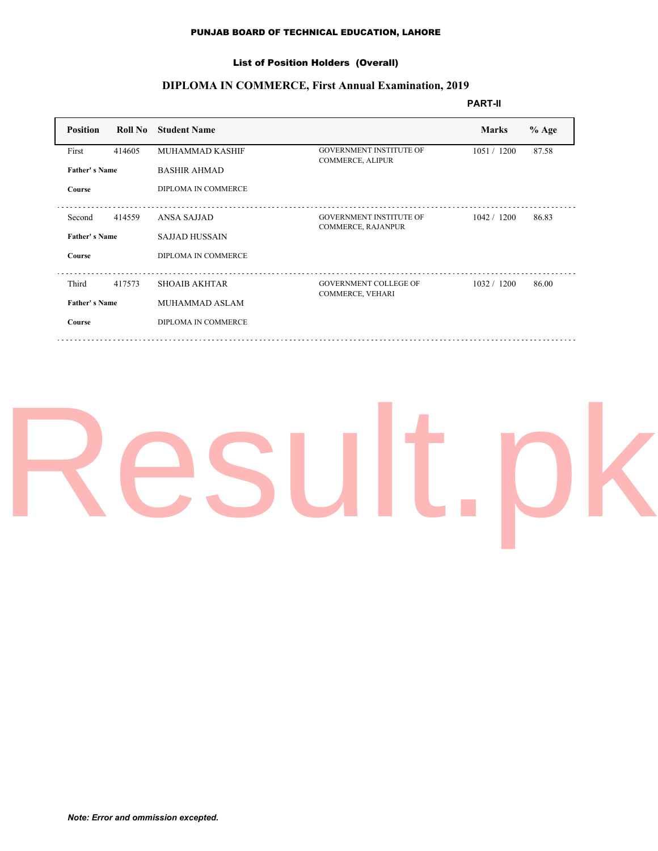### List of Position Holders (Overall)

### **DIPLOMA IN COMMERCE, First Annual Examination, 2019**

**PART-II**

| <b>Position</b>                | Roll No | <b>Student Name</b>    |                                                           | <b>Marks</b> | $%$ Age |
|--------------------------------|---------|------------------------|-----------------------------------------------------------|--------------|---------|
| First                          | 414605  | <b>MUHAMMAD KASHIF</b> | <b>GOVERNMENT INSTITUTE OF</b><br><b>COMMERCE, ALIPUR</b> | 1051 / 1200  | 87.58   |
| <b>Father's Name</b>           |         | <b>BASHIR AHMAD</b>    |                                                           |              |         |
| Course                         |         | DIPLOMA IN COMMERCE    |                                                           |              |         |
| Second                         | 414559  | ANSA SAJJAD            | <b>GOVERNMENT INSTITUTE OF</b>                            | 1042 / 1200  | 86.83   |
| <b>Father's Name</b>           |         | <b>SAJJAD HUSSAIN</b>  | <b>COMMERCE, RAJANPUR</b>                                 |              |         |
| Course                         |         | DIPLOMA IN COMMERCE    |                                                           |              |         |
| Third                          | 417573  | <b>SHOAIB AKHTAR</b>   | <b>GOVERNMENT COLLEGE OF</b>                              | 1032 / 1200  | 86.00   |
| <b>Father's Name</b><br>Course |         | MUHAMMAD ASLAM         | COMMERCE, VEHARI                                          |              |         |
|                                |         | DIPLOMA IN COMMERCE    |                                                           |              |         |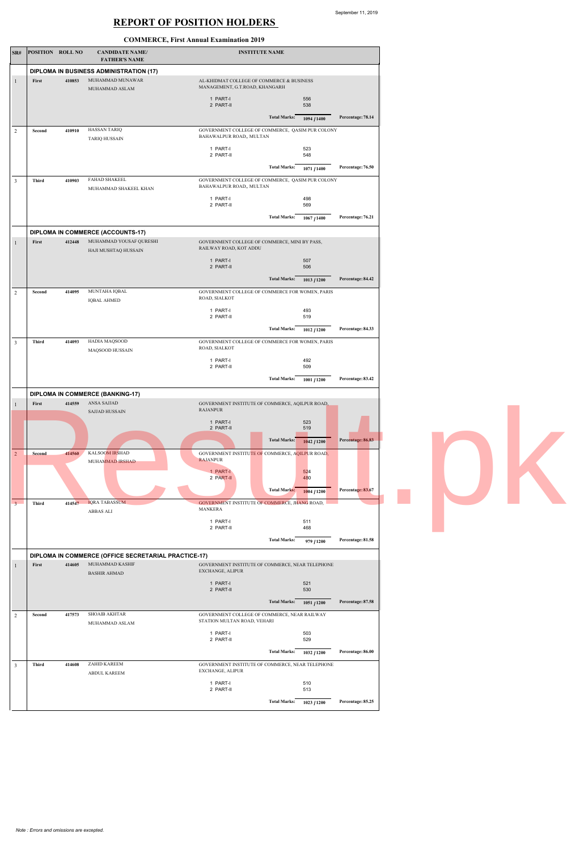### **REPORT OF POSITION HOLDERS**

September 11, 2019

### **COMMERCE, First Annual Examination 2019**

| SR#                     | <b>POSITION ROLL NO</b> |        | <b>CANDIDATE NAME/</b><br><b>FATHER'S NAME</b>                      | <b>INSTITUTE NAME</b>                                                        |  |
|-------------------------|-------------------------|--------|---------------------------------------------------------------------|------------------------------------------------------------------------------|--|
|                         |                         |        | <b>DIPLOMA IN BUSINESS ADMINISTRATION (17)</b>                      |                                                                              |  |
| $\mathbf{1}$            | First                   | 410853 | MUHAMMAD MUNAWAR<br><b>MUHAMMAD ASLAM</b>                           | AL-KHIDMAT COLLEGE OF COMMERCE & BUSINESS<br>MANAGEMENT, G.T.ROAD, KHANGARH  |  |
|                         |                         |        |                                                                     | 1 PART-I<br>556<br>2 PART-II<br>538                                          |  |
|                         |                         |        |                                                                     | <b>Total Marks:</b><br>Percentage: 78.14<br>1094 / 1400                      |  |
| $\overline{2}$          | Second                  | 410910 | <b>HASSAN TARIQ</b><br><b>TARIQ HUSSAIN</b>                         | GOVERNMENT COLLEGE OF COMMERCE, QASIM PUR COLONY<br>BAHAWALPUR ROAD,, MULTAN |  |
|                         |                         |        |                                                                     | 1 PART-I<br>523<br>548<br>2 PART-II                                          |  |
|                         |                         |        |                                                                     | Percentage: 76.50<br><b>Total Marks:</b><br>1071 / 1400                      |  |
| $\mathbf{3}$            | <b>Third</b>            | 410903 | <b>FAHAD SHAKEEL</b><br>MUHAMMAD SHAKEEL KHAN                       | GOVERNMENT COLLEGE OF COMMERCE, QASIM PUR COLONY<br>BAHAWALPUR ROAD,, MULTAN |  |
|                         |                         |        |                                                                     | 1 PART-I<br>498<br>2 PART-II<br>569                                          |  |
|                         |                         |        |                                                                     | <b>Total Marks:</b><br>Percentage: 76.21<br>1067 / 1400                      |  |
| $\mathbf{1}$            | First                   | 412448 | <b>DIPLOMA IN COMMERCE (ACCOUNTS-17)</b><br>MUHAMMAD YOUSAF QURESHI | GOVERNMENT COLLEGE OF COMMERCE, MINI BY PASS,                                |  |
|                         |                         |        | HAJI MUSHTAQ HUSSAIN                                                | RAILWAY ROAD, KOT ADDU<br>1 PART-I<br>507                                    |  |
|                         |                         |        |                                                                     | 2 PART-II<br>506                                                             |  |
|                         |                         |        |                                                                     | Percentage: 84.42<br><b>Total Marks:</b><br>1013 / 1200                      |  |
| $\overline{2}$          | Second                  | 414095 | MUNTAHA IQBAL<br><b>IQBAL AHMED</b>                                 | GOVERNMENT COLLEGE OF COMMERCE FOR WOMEN, PARIS<br>ROAD, SIALKOT             |  |
|                         |                         |        |                                                                     | 1 PART-I<br>493<br>2 PART-II<br>519                                          |  |
|                         |                         |        |                                                                     | <b>Total Marks:</b><br>Percentage: 84.33<br>1012/1200                        |  |
| 3                       | <b>Third</b>            | 414093 | HADIA MAQSOOD<br>MAQSOOD HUSSAIN                                    | GOVERNMENT COLLEGE OF COMMERCE FOR WOMEN, PARIS<br>ROAD, SIALKOT             |  |
|                         |                         |        |                                                                     | 1 PART-I<br>492<br>2 PART-II<br>509                                          |  |
|                         |                         |        |                                                                     | Percentage: 83.42<br><b>Total Marks:</b><br>1001 / 1200                      |  |
|                         |                         |        | <b>DIPLOMA IN COMMERCE (BANKING-17)</b>                             |                                                                              |  |
| $\mathbf{1}$            | First                   | 414559 | <b>ANSA SAJJAD</b><br><b>SAJJAD HUSSAIN</b>                         | GOVERNMENT INSTITUTE OF COMMERCE, AQILPUR ROAD,<br><b>RAJANPUR</b>           |  |
|                         |                         |        |                                                                     | 1 PART-I<br>523<br>2 PART-II<br>519                                          |  |
|                         |                         |        |                                                                     | Percentage: 86.83<br><b>Total Marks:</b><br>1042 / 1200                      |  |
| 2                       | <b>Second</b>           | 414560 | <b>KALSOOM IRSHAD</b><br>MUHAMMAD IRSHAD                            | GOVERNMENT INSTITUTE OF COMMERCE, AQILPUR ROAD,<br><b>RAJANPUR</b>           |  |
|                         |                         |        |                                                                     | 1 PART-I<br>524<br>2 PART-II<br>480                                          |  |
|                         |                         |        |                                                                     | <b>Total Marks:</b><br>Percentage: 83.67<br>1004 / 1200                      |  |
| $\overline{\mathbf{3}}$ | <b>Third</b>            | 414547 | <b>IQRA TABASSUM</b><br><b>ABBAS ALI</b>                            | GOVERNMENT INSTITUTE OF COMMERCE, JHANG ROAD,<br><b>MANKERA</b>              |  |
|                         |                         |        |                                                                     | 1 PART-I<br>511<br>2 PART-II<br>468                                          |  |
|                         |                         |        |                                                                     | Percentage: 81.58<br><b>Total Marks:</b><br>979 / 1200                       |  |
|                         |                         |        | DIPLOMA IN COMMERCE (OFFICE SECRETARIAL PRACTICE-17)                |                                                                              |  |
| $\mathbf{1}$            | First                   | 414605 | MUHAMMAD KASHIF<br><b>BASHIR AHMAD</b>                              | GOVERNMENT INSTITUTE OF COMMERCE, NEAR TELEPHONE<br>EXCHANGE, ALIPUR         |  |
|                         |                         |        |                                                                     | 1 PART-I<br>521<br>2 PART-II<br>530                                          |  |
|                         |                         |        |                                                                     | <b>Total Marks:</b><br>Percentage: 87.58<br>1051 / 1200                      |  |
| $\overline{2}$          | Second                  | 417573 | <b>SHOAIB AKHTAR</b><br>MUHAMMAD ASLAM                              | GOVERNMENT COLLEGE OF COMMERCE, NEAR RAILWAY<br>STATION MULTAN ROAD, VEHARI  |  |
|                         |                         |        |                                                                     | 503<br>1 PART-I<br>2 PART-II<br>529                                          |  |
|                         |                         |        |                                                                     | <b>Total Marks:</b><br>Percentage: 86.00<br>1032 / 1200                      |  |
| 3                       | <b>Third</b>            | 414608 | ZAHID KAREEM<br><b>ABDUL KAREEM</b>                                 | GOVERNMENT INSTITUTE OF COMMERCE, NEAR TELEPHONE<br>EXCHANGE, ALIPUR         |  |
|                         |                         |        |                                                                     | 1 PART-I<br>510<br>2 PART-II<br>513                                          |  |
|                         |                         |        |                                                                     | <b>Total Marks:</b><br>Percentage: 85.25<br>1023 / 1200                      |  |